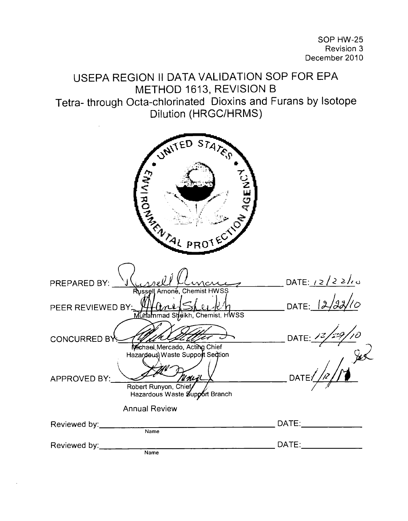| USEPA REGION II DATA VALIDATION SOP FOR EPA<br>METHOD 1613, REVISION B                                                                      |                                                                                                                                                                                                                                |
|---------------------------------------------------------------------------------------------------------------------------------------------|--------------------------------------------------------------------------------------------------------------------------------------------------------------------------------------------------------------------------------|
| Tetra-through Octa-chlorinated Dioxins and Furans by Isotope<br>Dilution (HRGC/HRMS)                                                        |                                                                                                                                                                                                                                |
|                                                                                                                                             |                                                                                                                                                                                                                                |
| STATES<br>UNITED<br><b>CALL AND CALL ON CALL ON CALL ON CALL ON CALL ON CALL ON CALL ON CALL ON CALL ON CALL ON CALL ON CALL ON CALL ON</b> |                                                                                                                                                                                                                                |
| PREPARED BY:                                                                                                                                | DATE: $12/22/10$                                                                                                                                                                                                               |
| Russell Arnoné, Chemist HWSS<br>PEER REVIEWED BY:<br>Murammad Sheikh, Chemist, HWSS                                                         | DATE: 12                                                                                                                                                                                                                       |
| <b>CONCURRED B'</b><br>Michael Mercado, Acting Chief                                                                                        | DATE: $\frac{7}{2}$                                                                                                                                                                                                            |
| Hazardous) Waste Support Section<br>APPROVED BY:<br>Unij<br>Robert Runyon, Chief<br>Hazardous Waste Support Branch                          | $\int_{\mu}$<br><b>DATE</b>                                                                                                                                                                                                    |
| <b>Annual Review</b>                                                                                                                        |                                                                                                                                                                                                                                |
| Reviewed by: _________<br>$\overline{\mathsf{Name}}$                                                                                        | DATE: the contract of the contract of the contract of the contract of the contract of the contract of the contract of the contract of the contract of the contract of the contract of the contract of the contract of the cont |
| Reviewed by: ______<br>$\overline{\mathsf{Name}}$                                                                                           | DATE:________________                                                                                                                                                                                                          |
|                                                                                                                                             |                                                                                                                                                                                                                                |

 $\bar{\beta}$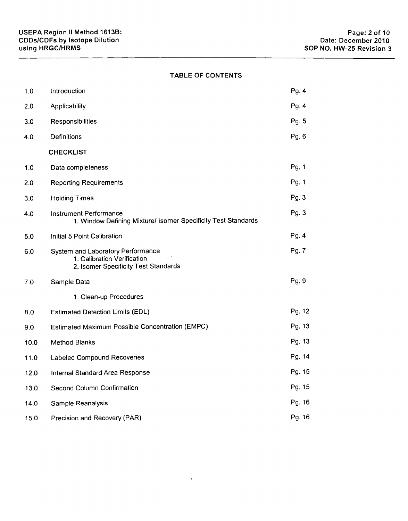# TABLE OF CONTENTS

| 1.0  | Introduction                                                                                             | Pg. 4  |
|------|----------------------------------------------------------------------------------------------------------|--------|
| 2.0  | Applicability                                                                                            | Pg. 4  |
| 3.0  | Responsibilities                                                                                         | Pg. 5  |
| 4.0  | <b>Definitions</b>                                                                                       | Pg. 6  |
|      | <b>CHECKLIST</b>                                                                                         |        |
| 1.0  | Data completeness                                                                                        | Pg. 1  |
| 2.0  | <b>Reporting Requirements</b>                                                                            | Pg. 1  |
| 3.0  | Holding Times                                                                                            | Pg. 3  |
| 4.0  | Instrument Performance<br>1. Window Defining Mixture/ Isomer Specificity Test Standards                  | Pg. 3  |
| 5.0  | Initial 5 Point Calibration                                                                              | Pg. 4  |
| 6.0  | System and Laboratory Performance<br>1. Calibration Verification<br>2. Isomer Specificity Test Standards | Pg. 7  |
| 7.0  | Sample Data                                                                                              | Pg. 9  |
|      | 1. Clean-up Procedures                                                                                   |        |
| 8.0  | <b>Estimated Detection Limits (EDL)</b>                                                                  | Pg. 12 |
| 9.0  | Estimated Maximum Possible Concentration (EMPC)                                                          | Pg. 13 |
| 10.0 | Method Blanks                                                                                            | Pg. 13 |
| 11.0 | Labeled Compound Recoveries                                                                              | Pg. 14 |
| 12.0 | Internal Standard Area Response                                                                          | Pg. 15 |
| 13.0 | Second Column Confirmation                                                                               | Pg. 15 |
| 14.0 | Sample Reanalysis                                                                                        | Pg. 16 |
| 15.0 | Precision and Recovery (PAR)                                                                             | Pg. 16 |

 $\bullet$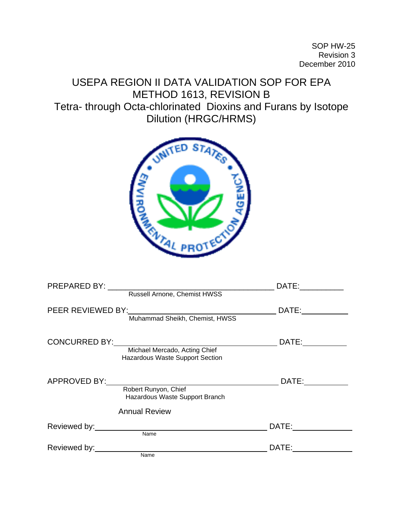SOP HW-25 Revision 3 December 2010

USEPA REGION II DATA VALIDATION SOP FOR EPA METHOD 1613, REVISION B Tetra- through Octa-chlorinated Dioxins and Furans by Isotope Dilution (HRGC/HRMS)



| <b>PREPARED BY:</b>  | DATE:                           |
|----------------------|---------------------------------|
|                      | Russell Arnone, Chemist HWSS    |
| PEER REVIEWED BY:    | DATE:                           |
|                      | Muhammad Sheikh, Chemist, HWSS  |
|                      |                                 |
|                      | DATE:                           |
|                      | Michael Mercado, Acting Chief   |
|                      | Hazardous Waste Support Section |
|                      |                                 |
|                      |                                 |
| APPROVED BY:         | DATE:                           |
| Robert Runyon, Chief |                                 |
|                      | Hazardous Waste Support Branch  |
| <b>Annual Review</b> |                                 |
| Reviewed by:         | DATE:                           |
| Name                 |                                 |
|                      |                                 |
| Reviewed by:         | DATE:                           |
| Name                 |                                 |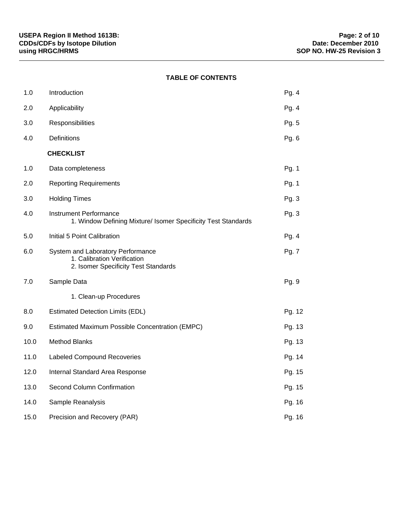# **TABLE OF CONTENTS**

| 1.0  | Introduction                                                                                             | Pg. 4   |
|------|----------------------------------------------------------------------------------------------------------|---------|
| 2.0  | Applicability                                                                                            | Pg. $4$ |
| 3.0  | Responsibilities                                                                                         | Pg. 5   |
| 4.0  | Definitions                                                                                              | Pg. 6   |
|      | <b>CHECKLIST</b>                                                                                         |         |
| 1.0  | Data completeness                                                                                        | Pg. 1   |
| 2.0  | <b>Reporting Requirements</b>                                                                            | Pg. 1   |
| 3.0  | <b>Holding Times</b>                                                                                     | Pg. 3   |
| 4.0  | <b>Instrument Performance</b><br>1. Window Defining Mixture/ Isomer Specificity Test Standards           | Pg. 3   |
| 5.0  | Initial 5 Point Calibration                                                                              | Pg. 4   |
| 6.0  | System and Laboratory Performance<br>1. Calibration Verification<br>2. Isomer Specificity Test Standards | Pg. 7   |
| 7.0  | Sample Data                                                                                              | Pg. 9   |
|      | 1. Clean-up Procedures                                                                                   |         |
| 8.0  | <b>Estimated Detection Limits (EDL)</b>                                                                  | Pg. 12  |
| 9.0  | Estimated Maximum Possible Concentration (EMPC)                                                          | Pg. 13  |
| 10.0 | <b>Method Blanks</b>                                                                                     | Pg. 13  |
| 11.0 | Labeled Compound Recoveries                                                                              | Pg. 14  |
| 12.0 | Internal Standard Area Response                                                                          | Pg. 15  |
| 13.0 | Second Column Confirmation                                                                               | Pg. 15  |
| 14.0 | Sample Reanalysis                                                                                        | Pg. 16  |
| 15.0 | Precision and Recovery (PAR)                                                                             | Pg. 16  |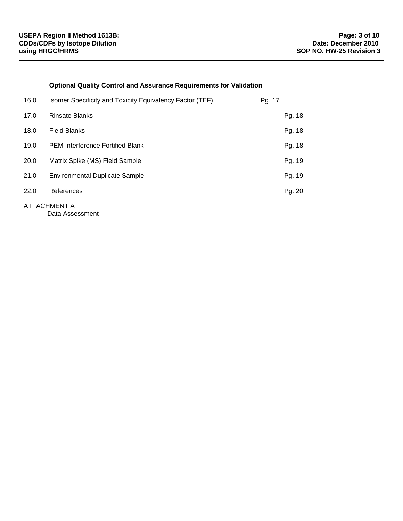## **Optional Quality Control and Assurance Requirements for Validation**

| 16.0 | Isomer Specificity and Toxicity Equivalency Factor (TEF) | Pg. 17 |
|------|----------------------------------------------------------|--------|
| 17.0 | <b>Rinsate Blanks</b>                                    | Pg. 18 |
| 18.0 | <b>Field Blanks</b>                                      | Pg. 18 |
| 19.0 | <b>PEM Interference Fortified Blank</b>                  | Pg. 18 |
| 20.0 | Matrix Spike (MS) Field Sample                           | Pg. 19 |
| 21.0 | <b>Environmental Duplicate Sample</b>                    | Pg. 19 |
| 22.0 | References                                               | Pg. 20 |
|      | ATTACHMENT A                                             |        |

Data Assessment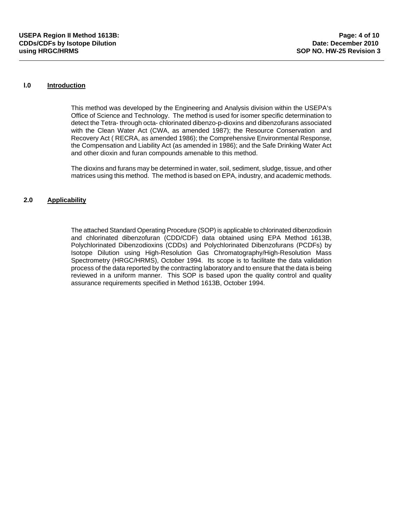### **l.0 Introduction**

This method was developed by the Engineering and Analysis division within the USEPA's Office of Science and Technology. The method is used for isomer specific determination to detect the Tetra- through octa- chlorinated dibenzo-p-dioxins and dibenzofurans associated with the Clean Water Act (CWA, as amended 1987); the Resource Conservation and Recovery Act ( RECRA, as amended 1986); the Comprehensive Environmental Response, the Compensation and Liability Act (as amended in 1986); and the Safe Drinking Water Act and other dioxin and furan compounds amenable to this method.

The dioxins and furans may be determined in water, soil, sediment, sludge, tissue, and other matrices using this method. The method is based on EPA, industry, and academic methods.

### **2.0 Applicability**

The attached Standard Operating Procedure (SOP) is applicable to chlorinated dibenzodioxin and chlorinated dibenzofuran (CDD/CDF) data obtained using EPA Method 1613B, Polychlorinated Dibenzodioxins (CDDs) and Polychlorinated Dibenzofurans (PCDFs) by Isotope Dilution using High-Resolution Gas Chromatography/High-Resolution Mass Spectrometry (HRGC/HRMS), October 1994. Its scope is to facilitate the data validation process of the data reported by the contracting laboratory and to ensure that the data is being reviewed in a uniform manner. This SOP is based upon the quality control and quality assurance requirements specified in Method 1613B, October 1994.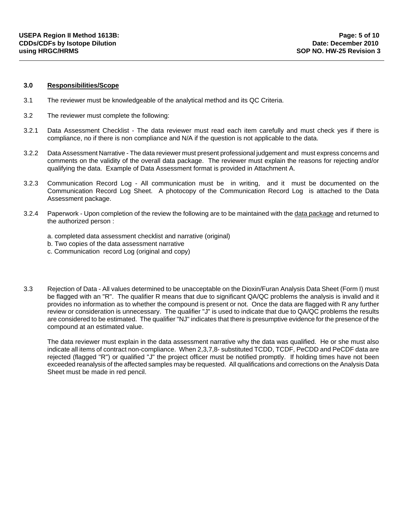#### **3.0 Responsibilities/Scope**

- 3.1 The reviewer must be knowledgeable of the analytical method and its QC Criteria.
- 3.2 The reviewer must complete the following:
- 3.2.1 Data Assessment Checklist The data reviewer must read each item carefully and must check yes if there is compliance, no if there is non compliance and N/A if the question is not applicable to the data.
- 3.2.2 Data Assessment Narrative The data reviewer must present professional judgement and must express concerns and comments on the validity of the overall data package. The reviewer must explain the reasons for rejecting and/or qualifying the data. Example of Data Assessment format is provided in Attachment A.
- 3.2.3 Communication Record Log All communication must be in writing, and it must be documented on the Communication Record Log Sheet. A photocopy of the Communication Record Log is attached to the Data Assessment package.
- 3.2.4 Paperwork Upon completion of the review the following are to be maintained with the data package and returned to the authorized person :
	- a. completed data assessment checklist and narrative (original)
	- b. Two copies of the data assessment narrative
	- c. Communication record Log (original and copy)
- 3.3 Rejection of Data All values determined to be unacceptable on the Dioxin/Furan Analysis Data Sheet (Form I) must be flagged with an "R". The qualifier R means that due to significant QA/QC problems the analysis is invalid and it provides no information as to whether the compound is present or not. Once the data are flagged with R any further review or consideration is unnecessary. The qualifier "J" is used to indicate that due to QA/QC problems the results are considered to be estimated. The qualifier "NJ" indicates that there is presumptive evidence for the presence of the compound at an estimated value.

The data reviewer must explain in the data assessment narrative why the data was qualified. He or she must also indicate all items of contract non-compliance. When 2,3,7,8- substituted TCDD, TCDF, PeCDD and PeCDF data are rejected (flagged "R") or qualified "J" the project officer must be notified promptly. If holding times have not been exceeded reanalysis of the affected samples may be requested. All qualifications and corrections on the Analysis Data Sheet must be made in red pencil.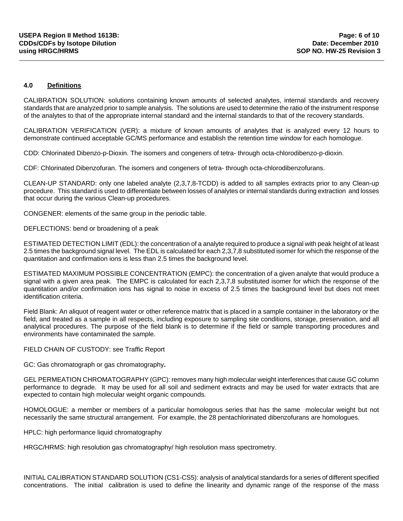### **4.0 Definitions**

CALIBRATION SOLUTION: solutions containing known amounts of selected analytes, internal standards and recovery standards that are analyzed prior to sample analysis. The solutions are used to determine the ratio of the instrument response of the analytes to that of the appropriate internal standard and the internal standards to that of the recovery standards.

CALIBRATION VERIFICATION (VER): a mixture of known amounts of analytes that is analyzed every 12 hours to demonstrate continued acceptable GC/MS performance and establish the retention time window for each homologue.

CDD: Chlorinated Dibenzo-p-Dioxin. The isomers and congeners of tetra- through octa-chlorodibenzo-p-dioxin.

CDF: Chlorinated Dibenzofuran. The isomers and congeners of tetra- through octa-chlorodibenzofurans.

CLEAN-UP STANDARD: only one labeled analyte (2,3,7,8-TCDD) is added to all samples extracts prior to any Clean-up procedure. This standard is used to differentiate between losses of analytes or internal standards during extraction and losses that occur during the various Clean-up procedures.

CONGENER: elements of the same group in the periodic table.

DEFLECTIONS: bend or broadening of a peak

ESTIMATED DETECTION LIMIT (EDL): the concentration of a analyte required to produce a signal with peak height of at least 2.5 times the background signal level. The EDL is calculated for each 2,3,7,8 substituted isomer for which the response of the quantitation and confirmation ions is less than 2.5 times the background level.

ESTIMATED MAXIMUM POSSIBLE CONCENTRATION (EMPC): the concentration of a given analyte that would produce a signal with a given area peak. The EMPC is calculated for each 2,3,7,8 substituted isomer for which the response of the quantitation and/or confirmation ions has signal to noise in excess of 2.5 times the background level but does not meet identification criteria.

Field Blank: An aliquot of reagent water or other reference matrix that is placed in a sample container in the laboratory or the field, and treated as a sample in all respects, including exposure to sampling site conditions, storage, preservation, and all analytical procedures. The purpose of the field blank is to determine if the field or sample transporting procedures and environments have contaminated the sample.

#### FIELD CHAIN OF CUSTODY: see Traffic Report

GC: Gas chromatograph or gas chromatography**.**

GEL PERMEATION CHROMATOGRAPHY (GPC): removes many high molecular weight interferences that cause GC column performance to degrade. It may be used for all soil and sediment extracts and may be used for water extracts that are expected to contain high molecular weight organic compounds.

HOMOLOGUE: a member or members of a particular homologous series that has the same molecular weight but not necessarily the same structural arrangement. For example, the 28 pentachlorinated dibenzofurans are homologues.

HPLC: high performance liquid chromatography

HRGC/HRMS: high resolution gas chromatography/ high resolution mass spectrometry.

INITIAL CALIBRATION STANDARD SOLUTION (CS1-CS5): analysis of analytical standards for a series of different specified concentrations. The initial calibration is used to define the linearity and dynamic range of the response of the mass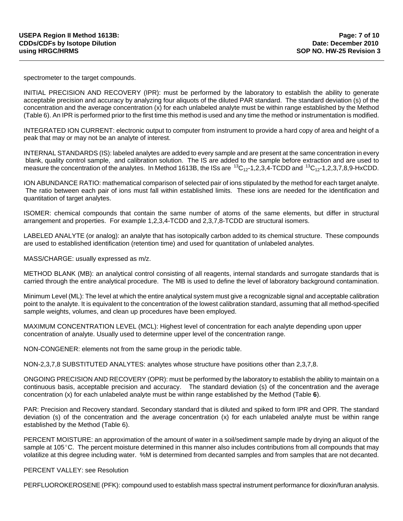spectrometer to the target compounds.

INITIAL PRECISION AND RECOVERY (IPR): must be performed by the laboratory to establish the ability to generate acceptable precision and accuracy by analyzing four aliquots of the diluted PAR standard. The standard deviation (s) of the concentration and the average concentration (x) for each unlabeled analyte must be within range established by the Method (Table 6). An IPR is performed prior to the first time this method is used and any time the method or instrumentation is modified.

INTEGRATED ION CURRENT: electronic output to computer from instrument to provide a hard copy of area and height of a peak that may or may not be an analyte of interest.

INTERNAL STANDARDS (IS): labeled analytes are added to every sample and are present at the same concentration in every blank, quality control sample, and calibration solution. The IS are added to the sample before extraction and are used to measure the concentration of the analytes. In Method 1613B, the ISs are  $^{13}C_{12}$ -1,2,3,4-TCDD and  $^{13}C_{12}$ -1,2,3,7,8,9-HxCDD.

ION ABUNDANCE RATIO: mathematical comparison of selected pair of ions stipulated by the method for each target analyte. The ratio between each pair of ions must fall within established limits. These ions are needed for the identification and quantitation of target analytes.

ISOMER: chemical compounds that contain the same number of atoms of the same elements, but differ in structural arrangement and properties. For example 1,2,3,4-TCDD and 2,3,7,8-TCDD are structural isomers.

LABELED ANALYTE (or analog): an analyte that has isotopically carbon added to its chemical structure. These compounds are used to established identification (retention time) and used for quantitation of unlabeled analytes.

MASS/CHARGE: usually expressed as m/z.

METHOD BLANK (MB): an analytical control consisting of all reagents, internal standards and surrogate standards that is carried through the entire analytical procedure. The MB is used to define the level of laboratory background contamination.

Minimum Level (ML): The level at which the entire analytical system must give a recognizable signal and acceptable calibration point to the analyte. It is equivalent to the concentration of the lowest calibration standard, assuming that all method-specified sample weights, volumes, and clean up procedures have been employed.

MAXIMUM CONCENTRATION LEVEL (MCL): Highest level of concentration for each analyte depending upon upper concentration of analyte. Usually used to determine upper level of the concentration range.

NON-CONGENER: elements not from the same group in the periodic table.

NON-2,3,7,8 SUBSTITUTED ANALYTES: analytes whose structure have positions other than 2,3,7,8.

ONGOING PRECISION AND RECOVERY (OPR): must be performed by the laboratory to establish the ability to maintain on a continuous basis, acceptable precision and accuracy. The standard deviation (s) of the concentration and the average concentration (x) for each unlabeled analyte must be within range established by the Method (Table **6**).

PAR: Precision and Recovery standard. Secondary standard that is diluted and spiked to form IPR and OPR. The standard deviation (s) of the concentration and the average concentration (x) for each unlabeled analyte must be within range established by the Method (Table 6).

PERCENT MOISTURE: an approximation of the amount of water in a soil/sediment sample made by drying an aliquot of the sample at 105 $\degree$ C. The percent moisture determined in this manner also includes contributions from all compounds that may volatilize at this degree including water. %M is determined from decanted samples and from samples that are not decanted.

PERCENT VALLEY: see Resolution

PERFLUOROKEROSENE (PFK): compound used to establish mass spectral instrument performance for dioxin/furan analysis.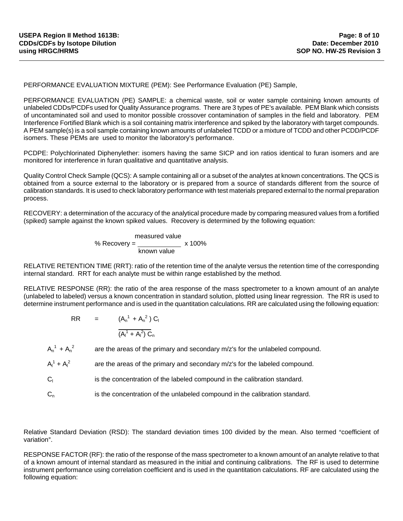PERFORMANCE EVALUATION MIXTURE (PEM): See Performance Evaluation (PE) Sample,

PERFORMANCE EVALUATION (PE) SAMPLE: a chemical waste, soil or water sample containing known amounts of unlabeled CDDs/PCDFs used for Quality Assurance programs. There are 3 types of PE's available. PEM Blank which consists of uncontaminated soil and used to monitor possible crossover contamination of samples in the field and laboratory. PEM Interference Fortified Blank which is a soil containing matrix interference and spiked by the laboratory with target compounds. A PEM sample(s) is a soil sample containing known amounts of unlabeled TCDD or a mixture of TCDD and other PCDD/PCDF isomers. These PEMs are used to monitor the laboratory's performance.

PCDPE: Polychlorinated Diphenylether: isomers having the same SICP and ion ratios identical to furan isomers and are monitored for interference in furan qualitative and quantitative analysis.

Quality Control Check Sample (QCS): A sample containing all or a subset of the analytes at known concentrations. The QCS is obtained from a source external to the laboratory or is prepared from a source of standards different from the source of calibration standards. It is used to check laboratory performance with test materials prepared external to the normal preparation process.

RECOVERY: a determination of the accuracy of the analytical procedure made by comparing measured values from a fortified (spiked) sample against the known spiked values. Recovery is determined by the following equation:

$$
\frac{\text{measured value}}{\text{known value}} \times 100\%
$$

RELATIVE RETENTION TIME (RRT): ratio of the retention time of the analyte versus the retention time of the corresponding internal standard. RRT for each analyte must be within range established by the method.

RELATIVE RESPONSE (RR): the ratio of the area response of the mass spectrometer to a known amount of an analyte (unlabeled to labeled) versus a known concentration in standard solution, plotted using linear regression. The RR is used to determine instrument performance and is used in the quantitation calculations. RR are calculated using the following equation:

> RR =  $(A_n^1 + A_n^2) C_1$  $\overline{a}$  $(A<sub>1</sub><sup>1</sup> + A<sub>1</sub><sup>2</sup>) C<sub>n</sub>$

 $A_n^1 + A_n^2$ are the areas of the primary and secondary m/z's for the unlabeled compound.

 $A_{I}^{1} + A_{I}^{2}$ are the areas of the primary and secondary m/z's for the labeled compound.

 $C<sub>1</sub>$ is the concentration of the labeled compound in the calibration standard.

 $C_n$  is the concentration of the unlabeled compound in the calibration standard.

Relative Standard Deviation (RSD): The standard deviation times 100 divided by the mean. Also termed "coefficient of variation".

RESPONSE FACTOR (RF): the ratio of the response of the mass spectrometer to a known amount of an analyte relative to that of a known amount of internal standard as measured in the initial and continuing calibrations. The RF is used to determine instrument performance using correlation coefficient and is used in the quantitation calculations. RF are calculated using the following equation: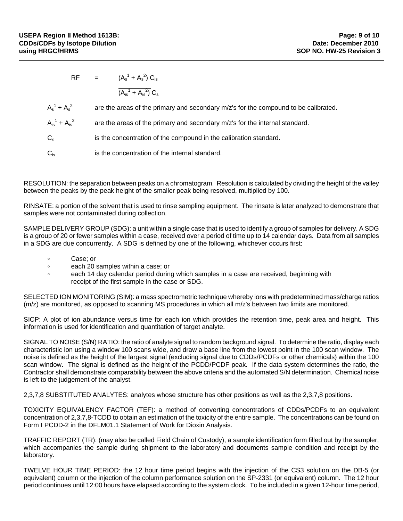RF =  $(A_s^1 + A_s^2) C_{is}$ L  $(A_{is}^1 + A_{is}^2) C_s$ 

 $A_s^1 + A_s^2$ are the areas of the primary and secondary m/z's for the compound to be calibrated.

 $A_{is}^1 + A_{is}^2$ are the areas of the primary and secondary m/z's for the internal standard.

 $C<sub>s</sub>$  is the concentration of the compound in the calibration standard.

 $C_{is}$  is the concentration of the internal standard.

RESOLUTION: the separation between peaks on a chromatogram. Resolution is calculated by dividing the height of the valley between the peaks by the peak height of the smaller peak being resolved, multiplied by 100.

RINSATE: a portion of the solvent that is used to rinse sampling equipment. The rinsate is later analyzed to demonstrate that samples were not contaminated during collection.

SAMPLE DELIVERY GROUP (SDG): a unit within a single case that is used to identify a group of samples for delivery. A SDG is a group of 20 or fewer samples within a case, received over a period of time up to 14 calendar days. Data from all samples in a SDG are due concurrently. A SDG is defined by one of the following, whichever occurs first:

- Case: or
- o each 20 samples within a case; or
- $\bullet$  each 14 day calendar period during which samples in a case are received, beginning with receipt of the first sample in the case or SDG.

SELECTED ION MONITORING (SIM): a mass spectrometric technique whereby ions with predetermined mass/charge ratios (m/z) are monitored, as opposed to scanning MS procedures in which all m/z's between two limits are monitored.

SICP: A plot of ion abundance versus time for each ion which provides the retention time, peak area and height. This information is used for identification and quantitation of target analyte.

SIGNAL TO NOISE (S/N) RATIO: the ratio of analyte signal to random background signal. To determine the ratio, display each characteristic ion using a window 100 scans wide, and draw a base line from the lowest point in the 100 scan window. The noise is defined as the height of the largest signal (excluding signal due to CDDs/PCDFs or other chemicals) within the 100 scan window. The signal is defined as the height of the PCDD/PCDF peak. If the data system determines the ratio, the Contractor shall demonstrate comparability between the above criteria and the automated S/N determination. Chemical noise is left to the judgement of the analyst.

2,3,7,8 SUBSTITUTED ANALYTES: analytes whose structure has other positions as well as the 2,3,7,8 positions.

TOXICITY EQUIVALENCY FACTOR (TEF): a method of converting concentrations of CDDs/PCDFs to an equivalent concentration of 2,3,7,8-TCDD to obtain an estimation of the toxicity of the entire sample. The concentrations can be found on Form I PCDD-2 in the DFLM01.1 Statement of Work for Dioxin Analysis.

TRAFFIC REPORT (TR): (may also be called Field Chain of Custody), a sample identification form filled out by the sampler, which accompanies the sample during shipment to the laboratory and documents sample condition and receipt by the laboratory.

TWELVE HOUR TIME PERIOD: the 12 hour time period begins with the injection of the CS3 solution on the DB-5 (or equivalent) column or the injection of the column performance solution on the SP-2331 (or equivalent) column. The 12 hour period continues until 12:00 hours have elapsed according to the system clock. To be included in a given 12-hour time period,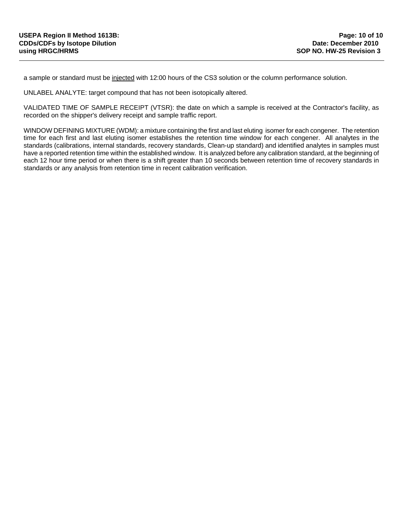a sample or standard must be injected with 12:00 hours of the CS3 solution or the column performance solution.

UNLABEL ANALYTE: target compound that has not been isotopically altered.

VALIDATED TIME OF SAMPLE RECEIPT (VTSR): the date on which a sample is received at the Contractor's facility, as recorded on the shipper's delivery receipt and sample traffic report.

WINDOW DEFINING MIXTURE (WDM): a mixture containing the first and last eluting isomer for each congener. The retention time for each first and last eluting isomer establishes the retention time window for each congener. All analytes in the standards (calibrations, internal standards, recovery standards, Clean-up standard) and identified analytes in samples must have a reported retention time within the established window. It is analyzed before any calibration standard, at the beginning of each 12 hour time period or when there is a shift greater than 10 seconds between retention time of recovery standards in standards or any analysis from retention time in recent calibration verification.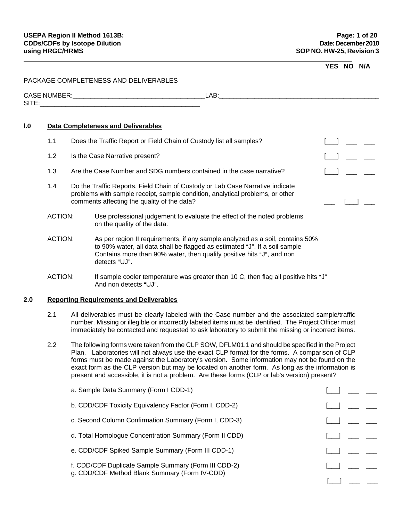### **YES NO N/A**

### PACKAGE COMPLETENESS AND DELIVERABLES

| $\sim$ $\sim$ $\sim$<br><b>JIVIK</b><br>w<br>- | . .<br>∼<br>– |  |
|------------------------------------------------|---------------|--|
| <b>SITE</b>                                    |               |  |

#### **l.0 Data Completeness and Deliverables**

- 1.1 Does the Traffic Report or Field Chain of Custody list all samples? [10] [10] 2000 [10] 2000
- 1.2 Is the Case Narrative present?
- 1.3 Are the Case Number and SDG numbers contained in the case narrative? [10] [10] [10] \_\_\_ 1
- 1.4 Do the Traffic Reports, Field Chain of Custody or Lab Case Narrative indicate problems with sample receipt, sample condition, analytical problems, or other comments affecting the quality of the data?  $\Box$
- ACTION: Use professional judgement to evaluate the effect of the noted problems on the quality of the data.
- ACTION: As per region II requirements, if any sample analyzed as a soil, contains 50% to 90% water, all data shall be flagged as estimated "J". If a soil sample Contains more than 90% water, then qualify positive hits "J", and non detects "UJ".
- ACTION: If sample cooler temperature was greater than 10 C, then flag all positive hits "J" And non detects "UJ".

### **2.0 Reporting Requirements and Deliverables**

- 2.1 All deliverables must be clearly labeled with the Case number and the associated sample/traffic number. Missing or illegible or incorrectly labeled items must be identified. The Project Officer must immediately be contacted and requested to ask laboratory to submit the missing or incorrect items.
- 2.2 The following forms were taken from the CLP SOW, DFLM01.1 and should be specified in the Project Plan. Laboratories will not always use the exact CLP format for the forms. A comparison of CLP forms must be made against the Laboratory's version. Some information may not be found on the exact form as the CLP version but may be located on another form. As long as the information is present and accessible, it is not a problem. Are these forms (CLP or lab's version) present?

| a. Sample Data Summary (Form I CDD-1)                                                                 |  |
|-------------------------------------------------------------------------------------------------------|--|
| b. CDD/CDF Toxicity Equivalency Factor (Form I, CDD-2)                                                |  |
| c. Second Column Confirmation Summary (Form I, CDD-3)                                                 |  |
| d. Total Homologue Concentration Summary (Form II CDD)                                                |  |
| e. CDD/CDF Spiked Sample Summary (Form III CDD-1)                                                     |  |
| f. CDD/CDF Duplicate Sample Summary (Form III CDD-2)<br>g. CDD/CDF Method Blank Summary (Form IV-CDD) |  |
|                                                                                                       |  |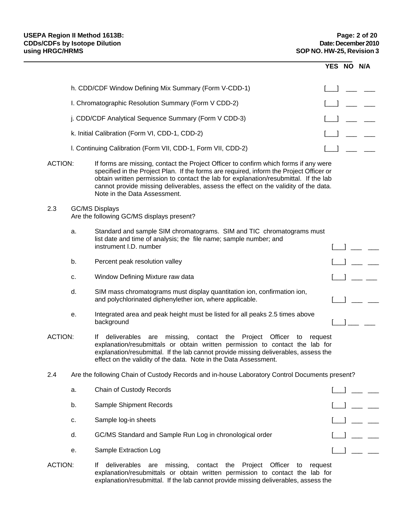|                |    |                                                                                                                                                                                                                                                                                                                                                                                                | YES NO N/A |  |
|----------------|----|------------------------------------------------------------------------------------------------------------------------------------------------------------------------------------------------------------------------------------------------------------------------------------------------------------------------------------------------------------------------------------------------|------------|--|
|                |    | h. CDD/CDF Window Defining Mix Summary (Form V-CDD-1)                                                                                                                                                                                                                                                                                                                                          |            |  |
|                |    | I. Chromatographic Resolution Summary (Form V CDD-2)                                                                                                                                                                                                                                                                                                                                           |            |  |
|                |    | j. CDD/CDF Analytical Sequence Summary (Form V CDD-3)                                                                                                                                                                                                                                                                                                                                          |            |  |
|                |    | k. Initial Calibration (Form VI, CDD-1, CDD-2)                                                                                                                                                                                                                                                                                                                                                 |            |  |
|                |    | I. Continuing Calibration (Form VII, CDD-1, Form VII, CDD-2)                                                                                                                                                                                                                                                                                                                                   |            |  |
| <b>ACTION:</b> |    | If forms are missing, contact the Project Officer to confirm which forms if any were<br>specified in the Project Plan. If the forms are required, inform the Project Officer or<br>obtain written permission to contact the lab for explanation/resubmittal. If the lab<br>cannot provide missing deliverables, assess the effect on the validity of the data.<br>Note in the Data Assessment. |            |  |
| 2.3            |    | <b>GC/MS Displays</b><br>Are the following GC/MS displays present?                                                                                                                                                                                                                                                                                                                             |            |  |
|                | a. | Standard and sample SIM chromatograms. SIM and TIC chromatograms must<br>list date and time of analysis; the file name; sample number; and<br>instrument I.D. number                                                                                                                                                                                                                           |            |  |
|                | b. | Percent peak resolution valley                                                                                                                                                                                                                                                                                                                                                                 |            |  |
|                | c. | Window Defining Mixture raw data                                                                                                                                                                                                                                                                                                                                                               |            |  |
|                | d. | SIM mass chromatograms must display quantitation ion, confirmation ion,<br>and polychlorinated diphenylether ion, where applicable.                                                                                                                                                                                                                                                            |            |  |
|                | е. | Integrated area and peak height must be listed for all peaks 2.5 times above<br>background                                                                                                                                                                                                                                                                                                     |            |  |
| <b>ACTION:</b> |    | If deliverables are missing, contact the Project Officer to<br>explanation/resubmittals or obtain written permission to contact the lab for<br>explanation/resubmittal. If the lab cannot provide missing deliverables, assess the<br>effect on the validity of the data. Note in the Data Assessment.                                                                                         | request    |  |
| 2.4            |    | Are the following Chain of Custody Records and in-house Laboratory Control Documents present?                                                                                                                                                                                                                                                                                                  |            |  |
|                | a. | Chain of Custody Records                                                                                                                                                                                                                                                                                                                                                                       |            |  |
|                | b. | Sample Shipment Records                                                                                                                                                                                                                                                                                                                                                                        |            |  |
|                | c. | Sample log-in sheets                                                                                                                                                                                                                                                                                                                                                                           |            |  |
|                | d. | GC/MS Standard and Sample Run Log in chronological order                                                                                                                                                                                                                                                                                                                                       |            |  |
|                | е. | Sample Extraction Log                                                                                                                                                                                                                                                                                                                                                                          |            |  |
| <b>ACTION:</b> |    | deliverables are missing,<br>contact the Project Officer<br>If<br>request<br>to                                                                                                                                                                                                                                                                                                                |            |  |

explanation/resubmittals or obtain written permission to contact the lab for explanation/resubmittal. If the lab cannot provide missing deliverables, assess the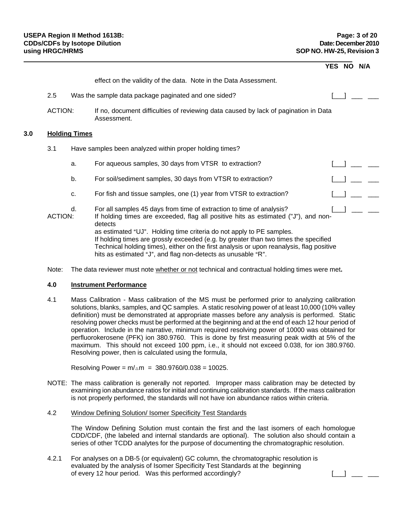|     |                |                      |                                                                                                                                                                                                                                                                                                                                                                                                                                                                                                  | YES NO N/A |  |  |
|-----|----------------|----------------------|--------------------------------------------------------------------------------------------------------------------------------------------------------------------------------------------------------------------------------------------------------------------------------------------------------------------------------------------------------------------------------------------------------------------------------------------------------------------------------------------------|------------|--|--|
|     |                |                      | effect on the validity of the data. Note in the Data Assessment.                                                                                                                                                                                                                                                                                                                                                                                                                                 |            |  |  |
|     | 2.5            |                      | Was the sample data package paginated and one sided?                                                                                                                                                                                                                                                                                                                                                                                                                                             |            |  |  |
|     | <b>ACTION:</b> |                      | If no, document difficulties of reviewing data caused by lack of pagination in Data<br>Assessment.                                                                                                                                                                                                                                                                                                                                                                                               |            |  |  |
| 3.0 |                | <b>Holding Times</b> |                                                                                                                                                                                                                                                                                                                                                                                                                                                                                                  |            |  |  |
|     | 3.1            |                      | Have samples been analyzed within proper holding times?                                                                                                                                                                                                                                                                                                                                                                                                                                          |            |  |  |
|     |                | a.                   | For aqueous samples, 30 days from VTSR to extraction?                                                                                                                                                                                                                                                                                                                                                                                                                                            |            |  |  |
|     |                | b.                   | For soil/sediment samples, 30 days from VTSR to extraction?                                                                                                                                                                                                                                                                                                                                                                                                                                      |            |  |  |
|     |                | c.                   | For fish and tissue samples, one (1) year from VTSR to extraction?                                                                                                                                                                                                                                                                                                                                                                                                                               |            |  |  |
|     | ACTION:        | d.                   | For all samples 45 days from time of extraction to time of analysis?<br>If holding times are exceeded, flag all positive hits as estimated ("J"), and non-<br>detects<br>as estimated "UJ". Holding time criteria do not apply to PE samples.<br>If holding times are grossly exceeded (e.g. by greater than two times the specified<br>Technical holding times), either on the first analysis or upon reanalysis, flag positive<br>hits as estimated "J", and flag non-detects as unusable "R". |            |  |  |

Note: The data reviewer must note whether or not technical and contractual holding times were met**.**

#### **4.0 Instrument Performance**

4.1 Mass Calibration - Mass calibration of the MS must be performed prior to analyzing calibration solutions, blanks, samples, and QC samples. A static resolving power of at least 10,000 (10% valley definition) must be demonstrated at appropriate masses before any analysis is performed. Static resolving power checks must be performed at the beginning and at the end of each 12 hour period of operation. Include in the narrative, minimum required resolving power of 10000 was obtained for perfluorokerosene (PFK) ion 380.9760. This is done by first measuring peak width at 5% of the maximum. This should not exceed 100 ppm, i.e., it should not exceed 0.038, for ion 380.9760. Resolving power, then is calculated using the formula,

Resolving Power =  $m/\Delta m$  = 380.9760/0.038 = 10025.

NOTE: The mass calibration is generally not reported. Improper mass calibration may be detected by examining ion abundance ratios for initial and continuing calibration standards. If the mass calibration is not properly performed, the standards will not have ion abundance ratios within criteria.

#### 4.2 Window Defining Solution/ Isomer Specificity Test Standards

The Window Defining Solution must contain the first and the last isomers of each homologue CDD/CDF, (the labeled and internal standards are optional). The solution also should contain a series of other TCDD analytes for the purpose of documenting the chromatographic resolution.

4.2.1 For analyses on a DB-5 (or equivalent) GC column, the chromatographic resolution is evaluated by the analysis of Isomer Specificity Test Standards at the beginning of every 12 hour period. Was this performed accordingly?  $\begin{array}{ccc} & & \end{array}$  [\_\_] \_ \_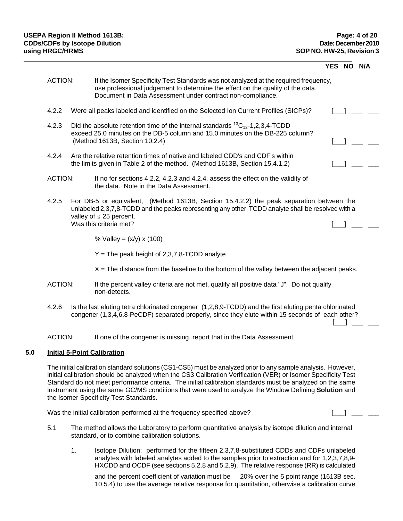|     |                |    |                                                                                                                                                                                                                                                                                                                                                                                                                                                                                               | YES NO | N/A |
|-----|----------------|----|-----------------------------------------------------------------------------------------------------------------------------------------------------------------------------------------------------------------------------------------------------------------------------------------------------------------------------------------------------------------------------------------------------------------------------------------------------------------------------------------------|--------|-----|
|     | <b>ACTION:</b> |    | If the Isomer Specificity Test Standards was not analyzed at the required frequency,<br>use professional judgement to determine the effect on the quality of the data.<br>Document in Data Assessment under contract non-compliance.                                                                                                                                                                                                                                                          |        |     |
|     | 4.2.2          |    | Were all peaks labeled and identified on the Selected Ion Current Profiles (SICPs)?                                                                                                                                                                                                                                                                                                                                                                                                           |        |     |
|     | 4.2.3          |    | Did the absolute retention time of the internal standards ${}^{13}C_{12}$ -1,2,3,4-TCDD<br>exceed 25.0 minutes on the DB-5 column and 15.0 minutes on the DB-225 column?<br>(Method 1613B, Section 10.2.4)                                                                                                                                                                                                                                                                                    |        |     |
|     | 4.2.4          |    | Are the relative retention times of native and labeled CDD's and CDF's within<br>the limits given in Table 2 of the method. (Method 1613B, Section 15.4.1.2)                                                                                                                                                                                                                                                                                                                                  |        |     |
|     | <b>ACTION:</b> |    | If no for sections 4.2.2, 4.2.3 and 4.2.4, assess the effect on the validity of<br>the data. Note in the Data Assessment.                                                                                                                                                                                                                                                                                                                                                                     |        |     |
|     | 4.2.5          |    | For DB-5 or equivalent, (Method 1613B, Section 15.4.2.2) the peak separation between the<br>unlabeled 2,3,7,8-TCDD and the peaks representing any other TCDD analyte shall be resolved with a<br>valley of $\leq$ 25 percent.                                                                                                                                                                                                                                                                 |        |     |
|     |                |    | Was this criteria met?                                                                                                                                                                                                                                                                                                                                                                                                                                                                        |        |     |
|     |                |    | % Valley = $(x/y)$ x (100)                                                                                                                                                                                                                                                                                                                                                                                                                                                                    |        |     |
|     |                |    | $Y =$ The peak height of 2,3,7,8-TCDD analyte                                                                                                                                                                                                                                                                                                                                                                                                                                                 |        |     |
|     |                |    | $X =$ The distance from the baseline to the bottom of the valley between the adjacent peaks.                                                                                                                                                                                                                                                                                                                                                                                                  |        |     |
|     | <b>ACTION:</b> |    | If the percent valley criteria are not met, qualify all positive data "J". Do not qualify<br>non-detects.                                                                                                                                                                                                                                                                                                                                                                                     |        |     |
|     | 4.2.6          |    | Is the last eluting tetra chlorinated congener (1,2,8,9-TCDD) and the first eluting penta chlorinated<br>congener (1,3,4,6,8-PeCDF) separated properly, since they elute within 15 seconds of each other?                                                                                                                                                                                                                                                                                     |        |     |
|     | <b>ACTION:</b> |    | If one of the congener is missing, report that in the Data Assessment.                                                                                                                                                                                                                                                                                                                                                                                                                        |        |     |
| 5.0 |                |    | <b>Initial 5-Point Calibration</b>                                                                                                                                                                                                                                                                                                                                                                                                                                                            |        |     |
|     |                |    | The initial calibration standard solutions (CS1-CS5) must be analyzed prior to any sample analysis. However,<br>initial calibration should be analyzed when the CS3 Calibration Verification (VER) or Isomer Specificity Test<br>Standard do not meet performance criteria. The initial calibration standards must be analyzed on the same<br>instrument using the same GC/MS conditions that were used to analyze the Window Defining Solution and<br>the Isomer Specificity Test Standards. |        |     |
|     |                |    | Was the initial calibration performed at the frequency specified above?                                                                                                                                                                                                                                                                                                                                                                                                                       |        |     |
|     | 5.1            |    | The method allows the Laboratory to perform quantitative analysis by isotope dilution and internal<br>standard, or to combine calibration solutions.                                                                                                                                                                                                                                                                                                                                          |        |     |
|     |                | 1. | Isotope Dilution: performed for the fifteen 2,3,7,8-substituted CDDs and CDFs unlabeled<br>analytes with labeled analytes added to the samples prior to extraction and for 1,2,3,7,8,9-<br>HXCDD and OCDF (see sections 5.2.8 and 5.2.9). The relative response (RR) is calculated                                                                                                                                                                                                            |        |     |
|     |                |    | and the percent coefficient of variation must be 20% over the 5 point range (1613B sec.                                                                                                                                                                                                                                                                                                                                                                                                       |        |     |

10.5.4) to use the average relative response for quantitation, otherwise a calibration curve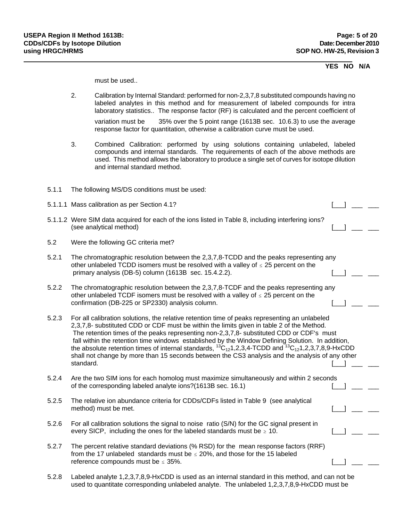### **YES NO N/A**

must be used..

- 2. Calibration by Internal Standard: performed for non-2,3,7,8 substituted compounds having no labeled analytes in this method and for measurement of labeled compounds for intra laboratory statistics.. The response factor (RF) is calculated and the percent coefficient of variation must be 35% over the 5 point range (1613B sec. 10.6.3) to use the average response factor for quantitation, otherwise a calibration curve must be used.
- 3. Combined Calibration: performed by using solutions containing unlabeled, labeled compounds and internal standards. The requirements of each of the above methods are used. This method allows the laboratory to produce a single set of curves for isotope dilution and internal standard method.
- 5.1.1 The following MS/DS conditions must be used:
- 5.1.1.1 Mass calibration as per Section 4.1? [\_\_\_] \_\_\_ \_\_\_
- 5.1.1.2 Were SIM data acquired for each of the ions listed in Table 8, including interfering ions? (see analytical method)
- 5.2 Were the following GC criteria met?
- 5.2.1 The chromatographic resolution between the 2,3,7,8-TCDD and the peaks representing any other unlabeled TCDD isomers must be resolved with a valley of  $\leq 25$  percent on the primary analysis (DB-5) column (1613B sec.  $15.4.2.2$ ).
- 5.2.2 The chromatographic resolution between the 2,3,7,8-TCDF and the peaks representing any other unlabeled TCDF isomers must be resolved with a valley of  $\leq$  25 percent on the confirmation (DB-225 or SP2330) analysis column.  $\begin{bmatrix} 0 & 1 \\ 0 & 1 \end{bmatrix}$  and  $\begin{bmatrix} 0 & 1 \\ -1 & 1 \end{bmatrix}$  and  $\begin{bmatrix} 0 & 1 \\ -1 & 1 \end{bmatrix}$  and  $\begin{bmatrix} 0 & 1 \\ -1 & 1 \end{bmatrix}$  and  $\begin{bmatrix} 0 & 1 \\ -1 & 1 \end{bmatrix}$  and  $\begin{bmatrix} 0 & 1 \\ -1 & 1 \end{b$
- 5.2.3 For all calibration solutions, the relative retention time of peaks representing an unlabeled 2,3,7,8- substituted CDD or CDF must be within the limits given in table 2 of the Method. The retention times of the peaks representing non-2,3,7,8- substituted CDD or CDF's must fall within the retention time windows established by the Window Defining Solution. In addition, the absolute retention times of internal standards,  ${}^{13}C_{12}1,2,3,4$ -TCDD and  ${}^{13}C_{12}1,2,3,7,8,9$ -HxCDD shall not change by more than 15 seconds between the CS3 analysis and the analysis of any other standard.  $\Box$   $\Box$   $\Box$   $\Box$
- 5.2.4 Are the two SIM ions for each homolog must maximize simultaneously and within 2 seconds of the corresponding labeled analyte ions?(1613B sec. 16.1)  $\begin{bmatrix} \begin{bmatrix} 1 \\ 1 \end{bmatrix} \end{bmatrix}$
- 5.2.5 The relative ion abundance criteria for CDDs/CDFs listed in Table 9 (see analytical method) must be met.  $\begin{bmatrix} \phantom{-} \end{bmatrix}$
- 5.2.6 For all calibration solutions the signal to noise ratio (S/N) for the GC signal present in every SICP, including the ones for the labeled standards must be  $\geq 10$ .
- 5.2.7 The percent relative standard deviations (% RSD) for the mean response factors (RRF) from the 17 unlabeled standards must be  $\leq$  20%, and those for the 15 labeled reference compounds must be  $\leq$  35%.
- 5.2.8 Labeled analyte 1,2,3,7,8,9-HxCDD is used as an internal standard in this method, and can not be used to quantitate corresponding unlabeled analyte. The unlabeled 1,2,3,7,8,9-HxCDD must be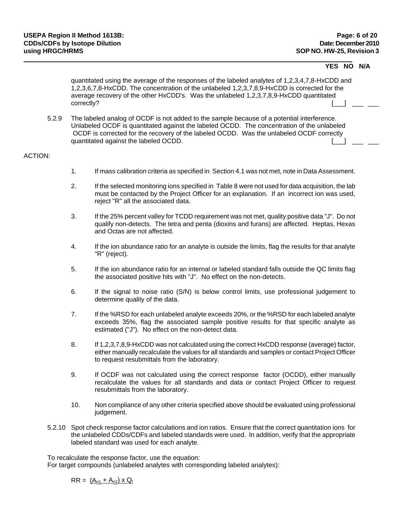### **YES NO N/A**

quantitated using the average of the responses of the labeled analytes of 1,2,3,4,7,8-HxCDD and 1,2,3,6,7,8-HxCDD. The concentration of the unlabeled 1,2,3,7,8,9-HxCDD is corrected for the average recovery of the other HxCDD's. Was the unlabeled 1,2,3,7,8,9-HxCDD quantitated correctly?  $\Box$   $\Box$   $\Box$   $\Box$ 

5.2.9 The labeled analog of OCDF is not added to the sample because of a potential interference. Unlabeled OCDF is quantitated against the labeled OCDD. The concentration of the unlabeled OCDF is corrected for the recovery of the labeled OCDD. Was the unlabeled OCDF correctly quantitated against the labeled OCDD.  $\begin{bmatrix} \_ \_ \end{bmatrix}$ 

#### ACTION:

- 1. If mass calibration criteria as specified in Section 4.1 was not met, note in Data Assessment.
- 2. If the selected monitoring ions specified in Table 8 were not used for data acquisition, the lab must be contacted by the Project Officer for an explanation. If an incorrect ion was used, reject "R" all the associated data.
- 3. If the 25% percent valley for TCDD requirement was not met, quality positive data "J". Do not qualify non-detects. The tetra and penta (dioxins and furans) are affected. Heptas, Hexas and Octas are not affected.
- 4. If the ion abundance ratio for an analyte is outside the limits, flag the results for that analyte "R" (reject).
- 5. If the ion abundance ratio for an internal or labeled standard falls outside the QC limits flag the associated positive hits with "J". No effect on the non-detects.
- 6. If the signal to noise ratio (S/N) is below control limits, use professional judgement to determine quality of the data.
- 7. If the %RSD for each unlabeled analyte exceeds 20%, or the %RSD for each labeled analyte exceeds 35%, flag the associated sample positive results for that specific analyte as estimated ("J"). No effect on the non-detect data.
- 8. If 1,2,3,7,8,9-HxCDD was not calculated using the correct HxCDD response (average) factor, either manually recalculate the values for all standards and samples or contact Project Officer to request resubmittals from the laboratory.
- 9. If OCDF was not calculated using the correct response factor (OCDD), either manually recalculate the values for all standards and data or contact Project Officer to request resubmittals from the laboratory.
- 10. Non compliance of any other criteria specified above should be evaluated using professional judgement.
- 5.2.10 Spot check response factor calculations and ion ratios. Ensure that the correct quantitation ions for the unlabeled CDDs/CDFs and labeled standards were used. In addition, verify that the appropriate labeled standard was used for each analyte.

To recalculate the response factor, use the equation:

For target compounds (unlabeled analytes with corresponding labeled analytes):

 $RR = (A_{n1} + A_{n2}) \times Q_1$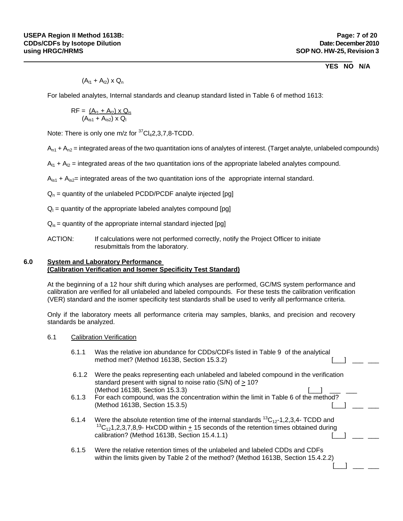## **YES NO N/A**

 $(A_{11} + A_{12})$  x  $Q_n$ 

For labeled analytes, Internal standards and cleanup standard listed in Table 6 of method 1613:

$$
RF = \frac{(A_{11} + A_{12}) \times Q_{1s}}{(A_{1s1} + A_{1s2}) \times Q_{1}}
$$

Note: There is only one  $m/z$  for  ${}^{37}Cl_42, 3, 7, 8$ -TCDD.

 $A_{n1}$  +  $A_{n2}$  = integrated areas of the two quantitation ions of analytes of interest. (Target analyte, unlabeled compounds)

 $A_{11} + A_{12}$  = integrated areas of the two quantitation ions of the appropriate labeled analytes compound.

 $A_{1s1}$  +  $A_{1s2}$ = integrated areas of the two quantitation ions of the appropriate internal standard.

- $Q_n$  = quantity of the unlabeled PCDD/PCDF analyte injected [pg]
- $Q_{\parallel}$  = quantity of the appropriate labeled analytes compound [pg]
- $Q<sub>is</sub>$  = quantity of the appropriate internal standard injected [pg]
- ACTION: If calculations were not performed correctly, notify the Project Officer to initiate resubmittals from the laboratory.

## **6.0 System and Laboratory Performance (Calibration Verification and Isomer Specificity Test Standard)**

At the beginning of a 12 hour shift during which analyses are performed, GC/MS system performance and calibration are verified for all unlabeled and labeled compounds. For these tests the calibration verification (VER) standard and the isomer specificity test standards shall be used to verify all performance criteria.

Only if the laboratory meets all performance criteria may samples, blanks, and precision and recovery standards be analyzed.

- 6.1 Calibration Verification
	- 6.1.1 Was the relative ion abundance for CDDs/CDFs listed in Table 9 of the analytical method met? (Method 1613B, Section 15.3.2) [\_\_\_] \_\_\_ \_\_\_
	- 6.1.2 Were the peaks representing each unlabeled and labeled compound in the verification standard present with signal to noise ratio (S/N) of > 10? (Method 1613B, Section 15.3.3) [\_\_\_] \_\_\_ \_\_\_
	- 6.1.3 For each compound, was the concentration within the limit in Table 6 of the method? (Method 1613B, Section 15.3.5)
	- 6.1.4 Were the absolute retention time of the internal standards  ${}^{13}C_{12}$ -1,2,3,4- TCDD and <sup>13</sup>C<sub>12</sub>1,2,3,7,8,9- HxCDD within  $\pm$  15 seconds of the retention times obtained during calibration? (Method 1613B, Section 15.4.1.1)
	- 6.1.5 Were the relative retention times of the unlabeled and labeled CDDs and CDFs within the limits given by Table 2 of the method? (Method 1613B, Section 15.4.2.2)

[\_\_\_] \_\_\_ \_\_\_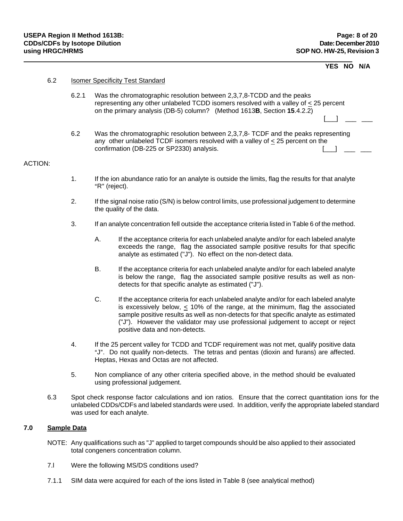## **YES NO N/A**

| 6.2 | <b>Isomer Specificity Test Standard</b> |
|-----|-----------------------------------------|
|     |                                         |

- 6.2.1 Was the chromatographic resolution between 2,3,7,8-TCDD and the peaks representing any other unlabeled TCDD isomers resolved with a valley of < 25 percent on the primary analysis (DB-5) column? (Method 1613**B**, Section **15**.4.2.2)
- 6.2 Was the chromatographic resolution between 2,3,7,8- TCDF and the peaks representing any other unlabeled TCDF isomers resolved with a valley of < 25 percent on the confirmation (DB-225 or SP2330) analysis.  $\begin{bmatrix} \begin{array}{c} \begin{array}{c} \end{array} \end{bmatrix} \end{bmatrix}$

[\_\_\_] \_\_\_ \_\_\_

#### ACTION:

- 1. If the ion abundance ratio for an analyte is outside the limits, flag the results for that analyte "R" (reject).
- 2. If the signal noise ratio (S/N) is below control limits, use professional judgement to determine the quality of the data.
- 3. If an analyte concentration fell outside the acceptance criteria listed in Table 6 of the method.
	- A. If the acceptance criteria for each unlabeled analyte and/or for each labeled analyte exceeds the range, flag the associated sample positive results for that specific analyte as estimated ("J"). No effect on the non-detect data.
	- B. If the acceptance criteria for each unlabeled analyte and/or for each labeled analyte is below the range, flag the associated sample positive results as well as nondetects for that specific analyte as estimated ("J").
	- C. If the acceptance criteria for each unlabeled analyte and/or for each labeled analyte is excessively below,  $\lt$  10% of the range, at the minimum, flag the associated sample positive results as well as non-detects for that specific analyte as estimated ("J"). However the validator may use professional judgement to accept or reject positive data and non-detects.
- 4. If the 25 percent valley for TCDD and TCDF requirement was not met, qualify positive data "J". Do not qualify non-detects. The tetras and pentas (dioxin and furans) are affected. Heptas, Hexas and Octas are not affected.
- 5. Non compliance of any other criteria specified above, in the method should be evaluated using professional judgement.
- 6.3 Spot check response factor calculations and ion ratios. Ensure that the correct quantitation ions for the unlabeled CDDs/CDFs and labeled standards were used. In addition, verify the appropriate labeled standard was used for each analyte.

### **7.0 Sample Data**

- NOTE: Any qualifications such as "J" applied to target compounds should be also applied to their associated total congeners concentration column.
- 7.l Were the following MS/DS conditions used?
- 7.1.1 SIM data were acquired for each of the ions listed in Table 8 (see analytical method)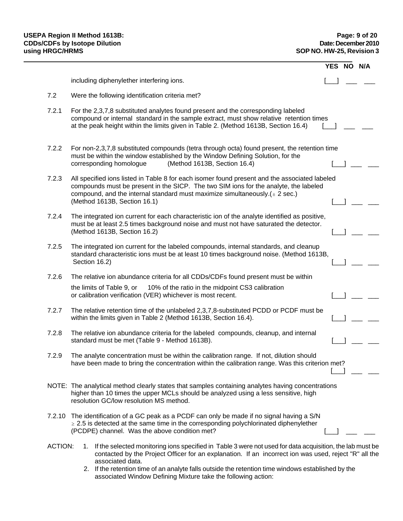|                |                                                                                                                                                                                                                                                                                                         | YES NO | N/A |
|----------------|---------------------------------------------------------------------------------------------------------------------------------------------------------------------------------------------------------------------------------------------------------------------------------------------------------|--------|-----|
|                | including diphenylether interfering ions.                                                                                                                                                                                                                                                               |        |     |
| 7.2            | Were the following identification criteria met?                                                                                                                                                                                                                                                         |        |     |
| 7.2.1          | For the 2,3,7,8 substituted analytes found present and the corresponding labeled<br>compound or internal standard in the sample extract, must show relative retention times<br>at the peak height within the limits given in Table 2. (Method 1613B, Section 16.4)                                      |        |     |
| 7.2.2          | For non-2,3,7,8 substituted compounds (tetra through octa) found present, the retention time<br>must be within the window established by the Window Defining Solution, for the<br>(Method 1613B, Section 16.4)<br>corresponding homologue                                                               |        |     |
| 7.2.3          | All specified ions listed in Table 8 for each isomer found present and the associated labeled<br>compounds must be present in the SICP. The two SIM ions for the analyte, the labeled<br>compound, and the internal standard must maximize simultaneously. $(± 2 sec.)$<br>(Method 1613B, Section 16.1) |        |     |
| 7.2.4          | The integrated ion current for each characteristic ion of the analyte identified as positive,<br>must be at least 2.5 times background noise and must not have saturated the detector.<br>(Method 1613B, Section 16.2)                                                                                  |        |     |
| 7.2.5          | The integrated ion current for the labeled compounds, internal standards, and cleanup<br>standard characteristic ions must be at least 10 times background noise. (Method 1613B,<br>Section 16.2)                                                                                                       |        |     |
| 7.2.6          | The relative ion abundance criteria for all CDDs/CDFs found present must be within                                                                                                                                                                                                                      |        |     |
|                | 10% of the ratio in the midpoint CS3 calibration<br>the limits of Table 9, or<br>or calibration verification (VER) whichever is most recent.                                                                                                                                                            |        |     |
| 7.2.7          | The relative retention time of the unlabeled 2,3,7,8-substituted PCDD or PCDF must be<br>within the limits given in Table 2 (Method 1613B, Section 16.4).                                                                                                                                               |        |     |
| 7.2.8          | The relative ion abundance criteria for the labeled compounds, cleanup, and internal<br>standard must be met (Table 9 - Method 1613B).                                                                                                                                                                  |        |     |
| 7.2.9          | The analyte concentration must be within the calibration range. If not, dilution should<br>have been made to bring the concentration within the calibration range. Was this criterion met?                                                                                                              |        |     |
|                | NOTE: The analytical method clearly states that samples containing analytes having concentrations<br>higher than 10 times the upper MCLs should be analyzed using a less sensitive, high<br>resolution GC/low resolution MS method.                                                                     |        |     |
|                | 7.2.10 The identification of a GC peak as a PCDF can only be made if no signal having a S/N<br>$\geq$ 2.5 is detected at the same time in the corresponding polychlorinated diphenylether<br>(PCDPE) channel. Was the above condition met?                                                              |        |     |
| <b>ACTION:</b> | If the selected monitoring ions specified in Table 3 were not used for data acquisition, the lab must be<br>1.<br>contacted by the Project Officer for an explanation. If an incorrect ion was used, reject "R" all the<br>associated data.                                                             |        |     |

 2. If the retention time of an analyte falls outside the retention time windows established by the associated Window Defining Mixture take the following action: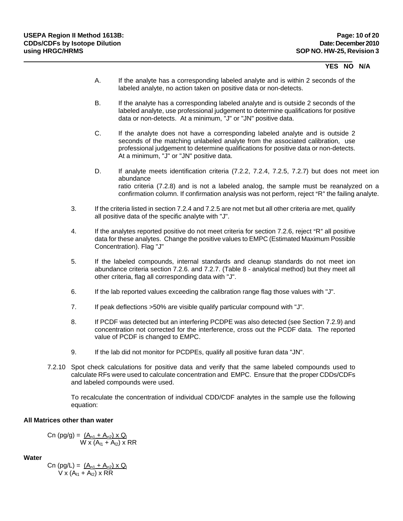### **YES NO N/A**

- A. If the analyte has a corresponding labeled analyte and is within 2 seconds of the labeled analyte, no action taken on positive data or non-detects.
- B. If the analyte has a corresponding labeled analyte and is outside 2 seconds of the labeled analyte, use professional judgement to determine qualifications for positive data or non-detects. At a minimum, "J" or "JN" positive data.
- C. If the analyte does not have a corresponding labeled analyte and is outside 2 seconds of the matching unlabeled analyte from the associated calibration, use professional judgement to determine qualifications for positive data or non-detects. At a minimum, "J" or "JN" positive data.
- D. If analyte meets identification criteria (7.2.2, 7.2.4, 7.2.5, 7.2.7) but does not meet ion abundance ratio criteria (7.2.8) and is not a labeled analog, the sample must be reanalyzed on a confirmation column. If confirmation analysis was not perform, reject "R" the failing analyte.
- 3. If the criteria listed in section 7.2.4 and 7.2.5 are not met but all other criteria are met, qualify all positive data of the specific analyte with "J".
- 4. If the analytes reported positive do not meet criteria for section 7.2.6, reject "R" all positive data for these analytes. Change the positive values to EMPC (Estimated Maximum Possible Concentration). Flag "J"
- 5. If the labeled compounds, internal standards and cleanup standards do not meet ion abundance criteria section 7.2.6. and 7.2.7. (Table 8 - analytical method) but they meet all other criteria, flag all corresponding data with "J".
- 6. If the lab reported values exceeding the calibration range flag those values with "J".
- 7. If peak deflections >50% are visible qualify particular compound with "J".
- 8. If PCDF was detected but an interfering PCDPE was also detected (see Section 7.2.9) and concentration not corrected for the interference, cross out the PCDF data. The reported value of PCDF is changed to EMPC.
- 9. If the lab did not monitor for PCDPEs, qualify all positive furan data "JN".
- 7.2.10 Spot check calculations for positive data and verify that the same labeled compounds used to calculate RFs were used to calculate concentration and EMPC. Ensure that the proper CDDs/CDFs and labeled compounds were used.

To recalculate the concentration of individual CDD/CDF analytes in the sample use the following equation:

## **All Matrices other than water**

$$
Cn (pg/g) = \frac{(A_{p1} + A_{p2}) \times Q_1}{W \times (A_{11} + A_{12}) \times RR}
$$

**Water**

$$
\text{Cn (pg/L)} = \frac{(A_{n1} + A_{n2}) \times Q_1}{V \times (A_{11} + A_{12}) \times RR}
$$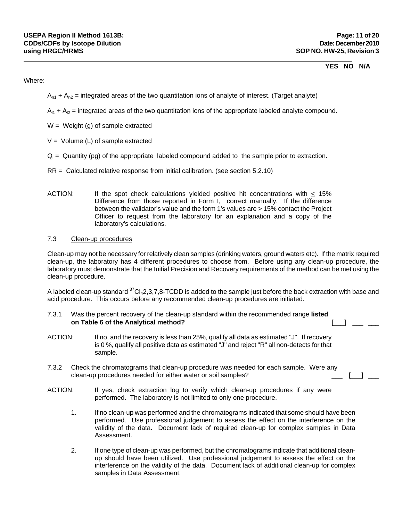## **YES NO N/A**

### Where:

- $A_{n1} + A_{n2}$  = integrated areas of the two quantitation ions of analyte of interest. (Target analyte)
- $A_{11}$  +  $A_{12}$  = integrated areas of the two quantitation ions of the appropriate labeled analyte compound.
- $W = Weight(g)$  of sample extracted
- $V =$  Volume (L) of sample extracted
- $Q<sub>l</sub>$  = Quantity (pg) of the appropriate labeled compound added to the sample prior to extraction.
- RR = Calculated relative response from initial calibration. (see section 5.2.10)
- ACTION: If the spot check calculations yielded positive hit concentrations with  $\leq 15\%$ Difference from those reported in Form I, correct manually. If the difference between the validator's value and the form 1's values are > 15% contact the Project Officer to request from the laboratory for an explanation and a copy of the laboratory's calculations.

## 7.3 Clean-up procedures

Clean-up may not be necessary for relatively clean samples (drinking waters, ground waters etc). If the matrix required clean-up, the laboratory has 4 different procedures to choose from. Before using any clean-up procedure, the laboratory must demonstrate that the Initial Precision and Recovery requirements of the method can be met using the clean-up procedure.

A labeled clean-up standard  ${}^{37}Cl_42,3,7,8$ -TCDD is added to the sample just before the back extraction with base and acid procedure. This occurs before any recommended clean-up procedures are initiated.

- 7.3.1 Was the percent recovery of the clean-up standard within the recommended range **listed on Table 6 of the Analytical method? and Table 6 of the Analytical method? and Table 6 of the Analytical method?**
- ACTION: If no, and the recovery is less than 25%, qualify all data as estimated "J". If recovery is 0 %, qualify all positive data as estimated "J" and reject "R" all non-detects for that sample.
- 7.3.2 Check the chromatograms that clean-up procedure was needed for each sample. Were any clean-up procedures needed for either water or soil samples?  $\Box$  [13]  $\Box$
- ACTION: If yes, check extraction log to verify which clean-up procedures if any were performed. The laboratory is not limited to only one procedure.
	- 1. If no clean-up was performed and the chromatograms indicated that some should have been performed. Use professional judgement to assess the effect on the interference on the validity of the data. Document lack of required clean-up for complex samples in Data Assessment.
	- 2. If one type of clean-up was performed, but the chromatograms indicate that additional cleanup should have been utilized. Use professional judgement to assess the effect on the interference on the validity of the data. Document lack of additional clean-up for complex samples in Data Assessment.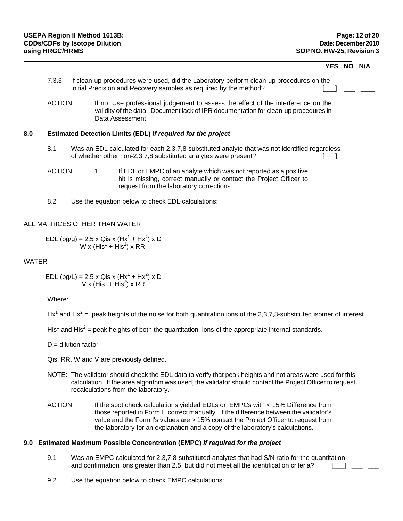|         |  |                                                                                                                                                                                              | <b>YES</b> | NO. |
|---------|--|----------------------------------------------------------------------------------------------------------------------------------------------------------------------------------------------|------------|-----|
| 7.3.3   |  | If clean-up procedures were used, did the Laboratory perform clean-up procedures on the<br>Initial Precision and Recovery samples as required by the method?                                 |            |     |
| ACTION: |  | If no, Use professional judgement to assess the effect of the interference on the<br>validity of the data. Document lack of IPR documentation for clean-up procedures in<br>Data Assessment. |            |     |
|         |  | Estimated Detection Limits (EDL) If required for the project                                                                                                                                 |            |     |
|         |  |                                                                                                                                                                                              |            |     |
| 8.1     |  | Was an EDL calculated for each 2,3,7,8-substituted analyte that was not identified regardless<br>of whether other non-2,3,7,8 substituted analytes were present?                             |            |     |

8.2 Use the equation below to check EDL calculations:

## ALL MATRICES OTHER THAN WATER

EDL (pg/g) = <u>2.5 x Qis x (Hx<sup>1</sup> + Hx<sup>2</sup>) x D</u>  $W \times (His^1 + His^2) \times RR$ 

### WATER

EDL (pg/L) = 
$$
\frac{2.5 \times Q \text{is} \times (Hx^1 + Hx^2) \times D}{V \times (His^1 + His^2) \times RR}
$$

Where:

Hx<sup>1</sup> and Hx<sup>2</sup> = peak heights of the noise for both quantitation ions of the 2,3,7,8-substituted isomer of interest.

His<sup>1</sup> and His<sup>2</sup> = peak heights of both the quantitation ions of the appropriate internal standards.

 $D =$  dilution factor

Qis, RR, W and V are previously defined.

- NOTE: The validator should check the EDL data to verify that peak heights and not areas were used for this calculation. If the area algorithm was used, the validator should contact the Project Officer to request recalculations from the laboratory.
- ACTION: If the spot check calculations yielded EDLs or EMPCs with  $\leq$  15% Difference from those reported in Form I, correct manually. If the difference between the validator's value and the Form I's values are > 15% contact the Project Officer to request from the laboratory for an explanation and a copy of the laboratory's calculations.

### **9.0 Estimated Maximum Possible Concentration (EMPC)** *If required for the project*

- 9.1 Was an EMPC calculated for 2,3,7,8-substituted analytes that had S/N ratio for the quantitation and confirmation ions greater than 2.5, but did not meet all the identification criteria?  $\Box$   $\Box$
- 9.2 Use the equation below to check EMPC calculations: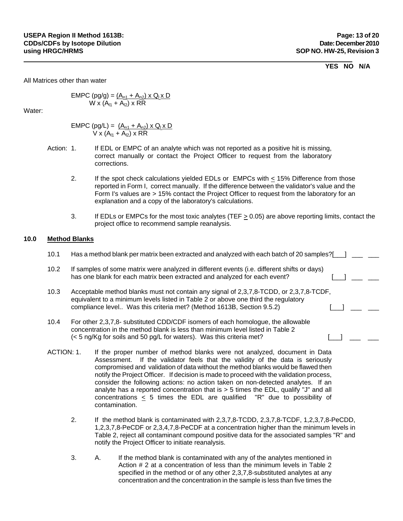### **YES NO N/A**

All Matrices other than water

$$
EMPC (pg/g) = (A_{n1} + A_{n2}) \times Q_1 \times D
$$
  
W x (A<sub>11</sub> + A<sub>12</sub>) x RR

Water:

$$
EMPC (pg/L) = \frac{(A_{n1} + A_{n2}) \times Q_1 \times D}{V \times (A_{11} + A_{12}) \times RR}
$$

- Action: 1. If EDL or EMPC of an analyte which was not reported as a positive hit is missing, correct manually or contact the Project Officer to request from the laboratory corrections.
	- 2. If the spot check calculations yielded EDLs or EMPCs with < 15% Difference from those reported in Form I, correct manually. If the difference between the validator's value and the Form I's values are > 15% contact the Project Officer to request from the laboratory for an explanation and a copy of the laboratory's calculations.
	- 3. If EDLs or EMPCs for the most toxic analytes (TEF  $\geq$  0.05) are above reporting limits, contact the project office to recommend sample reanalysis.

## **10.0 Method Blanks**

| 10.1       | Has a method blank per matrix been extracted and analyzed with each batch of 20 samples?[                                                                                                                                                             |  |  |
|------------|-------------------------------------------------------------------------------------------------------------------------------------------------------------------------------------------------------------------------------------------------------|--|--|
| 10.2       | If samples of some matrix were analyzed in different events (i.e. different shifts or days)<br>has one blank for each matrix been extracted and analyzed for each event?                                                                              |  |  |
| 10.3       | Acceptable method blanks must not contain any signal of 2,3,7,8-TCDD, or 2,3,7,8-TCDF,<br>equivalent to a minimum levels listed in Table 2 or above one third the regulatory<br>compliance level Was this criteria met? (Method 1613B, Section 9.5.2) |  |  |
| 10.4       | For other 2,3,7,8- substituted CDD/CDF isomers of each homologue, the allowable<br>concentration in the method blank is less than minimum level listed in Table 2<br>(< 5 ng/Kg for soils and 50 pg/L for waters). Was this criteria met?             |  |  |
| ACTION: 1. | If the proper number of method blanks were not analyzed, document in Data                                                                                                                                                                             |  |  |

- Assessment. If the validator feels that the validity of the data is seriously compromised and validation of data without the method blanks would be flawed then notify the Project Officer. If decision is made to proceed with the validation process, consider the following actions: no action taken on non-detected analytes. If an analyte has a reported concentration that is  $>$  5 times the EDL, qualify "J" and all concentrations < 5 times the EDL are qualified "R" due to possibility of contamination.
	- 2. If the method blank is contaminated with 2,3,7,8-TCDD, 2,3,7,8-TCDF, 1,2,3,7,8-PeCDD, 1,2,3,7,8-PeCDF or 2,3,4,7,8-PeCDF at a concentration higher than the minimum levels in Table 2, reject all contaminant compound positive data for the associated samples "R" and notify the Project Officer to initiate reanalysis.
	- 3. A. If the method blank is contaminated with any of the analytes mentioned in Action # 2 at a concentration of less than the minimum levels in Table 2 specified in the method or of any other 2,3,7,8-substituted analytes at any concentration and the concentration in the sample is less than five times the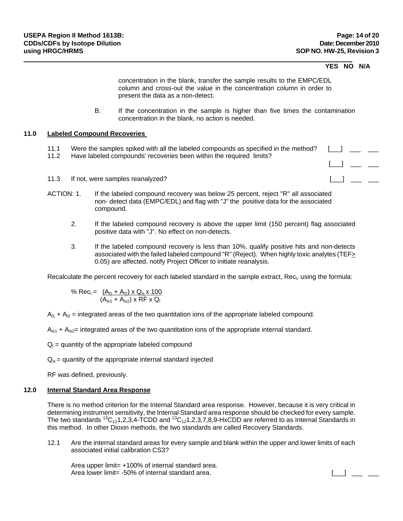### **YES NO N/A**

 $\Box$   $\Box$   $\Box$ 

concentration in the blank, transfer the sample results to the EMPC/EDL column and cross-out the value in the concentration column in order to present the data as a non-detect.

B. If the concentration in the sample is higher than five times the contamination concentration in the blank, no action is needed.

### **11.0 Labeled Compound Recoveries**

- 11.1 Were the samples spiked with all the labeled compounds as specified in the method? [10] [10] [10] [10] [10]
- 11.2 Have labeled compounds' recoveries been within the required limits?
- 11.3 If not, were samples reanalyzed?  $\Box$  \_\_\_ \_\_
- ACTION: 1. If the labeled compound recovery was below 25 percent, reject "R" all associated non- detect data (EMPC/EDL) and flag with "J" the positive data for the associated compound.
	- 2. If the labeled compound recovery is above the upper limit (150 percent) flag associated positive data with "J". No effect on non-detects.
	- 3. If the labeled compound recovery is less than 10%, qualify positive hits and non-detects associated with the failed labeled compound "R" (Reject). When highly toxic analytes (TEF> 0.05) are affected, notify Project Officer to initiate reanalysis.

Recalculate the percent recovery for each labeled standard in the sample extract, Rec<sub>l</sub>, using the formula:

% Rec<sub>l</sub> =  $(\underline{A_{11}} + \underline{A_{12}}) \times \underline{Q_{1s}} \times 100$  $(A_{\text{is1}} + A_{\text{is2}})$  x RF x Q

 $A_{11} + A_{12}$  = integrated areas of the two quantitation ions of the appropriate labeled compound.

 $A_{1s1}$  +  $A_{1s2}$ = integrated areas of the two quantitation ions of the appropriate internal standard.

 $Q<sub>l</sub>$  = quantity of the appropriate labeled compound

 $Q<sub>is</sub>$  = quantity of the appropriate internal standard injected

RF was defined, previously.

#### **12.0 Internal Standard Area Response**

There is no method criterion for the Internal Standard area response. However, because it is very critical in determining instrument sensitivity, the Internal Standard area response should be checked for every sample. The two standards  ${}^{13}C_{12}1,2,3,4$ -TCDD and  ${}^{13}C_{12}1,2,3,7,8,9$ -HxCDD are referred to as Internal Standards in this method. In other Dioxin methods, the two standards are called Recovery Standards.

12.1 Are the internal standard areas for every sample and blank within the upper and lower limits of each associated initial calibration CS3?

Area upper limit = +100% of internal standard area. Area lower limit= -50% of internal standard area.  $\begin{bmatrix} 1 & 1 \\ 1 & 1 \end{bmatrix}$  =  $\begin{bmatrix} 1 & 1 \\ 1 & 1 \end{bmatrix}$  =  $\begin{bmatrix} 1 & 1 \\ 1 & 1 \end{bmatrix}$  =  $\begin{bmatrix} 1 & 1 \\ 1 & 1 \end{bmatrix}$  =  $\begin{bmatrix} 1 & 1 \\ 1 & 1 \end{bmatrix}$  =  $\begin{bmatrix} 1 & 1 \\ 1 & 1 \end{bmatrix}$  =  $\begin{$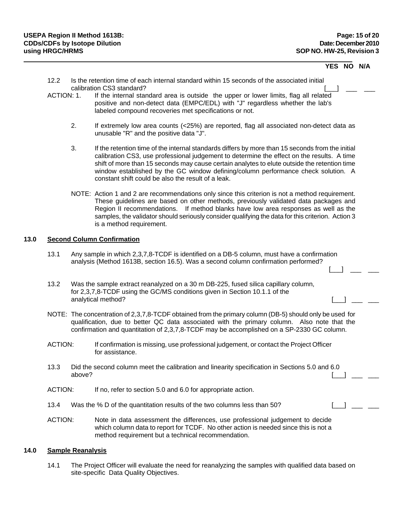### **YES NO N/A**

- 12.2 Is the retention time of each internal standard within 15 seconds of the associated initial calibration CS3 standard?
- ACTION: 1. If the internal standard area is outside the upper or lower limits, flag all related positive and non-detect data (EMPC/EDL) with "J" regardless whether the lab's labeled compound recoveries met specifications or not.
	- 2. If extremely low area counts (<25%) are reported, flag all associated non-detect data as unusable "R" and the positive data "J".
	- 3. If the retention time of the internal standards differs by more than 15 seconds from the initial calibration CS3, use professional judgement to determine the effect on the results. A time shift of more than 15 seconds may cause certain analytes to elute outside the retention time window established by the GC window defining/column performance check solution. A constant shift could be also the result of a leak.
	- NOTE: Action 1 and 2 are recommendations only since this criterion is not a method requirement. These guidelines are based on other methods, previously validated data packages and Region II recommendations. If method blanks have low area responses as well as the samples, the validator should seriously consider qualifying the data for this criterion. Action 3 is a method requirement.

## **13.0 Second Column Confirmation**

- 13.1 Any sample in which 2,3,7,8-TCDF is identified on a DB-5 column, must have a confirmation analysis (Method 1613B, section 16.5). Was a second column confirmation performed?  $\begin{bmatrix} 1 & 1 & \cdots & 1 \end{bmatrix}$
- 13.2 Was the sample extract reanalyzed on a 30 m DB-225, fused silica capillary column, for 2,3,7,8-TCDF using the GC/MS conditions given in Section 10.1.1 of the analytical method?
- NOTE: The concentration of 2,3,7,8-TCDF obtained from the primary column (DB-5) should only be used for qualification, due to better QC data associated with the primary column. Also note that the confirmation and quantitation of 2,3,7,8-TCDF may be accomplished on a SP-2330 GC column.
- ACTION: If confirmation is missing, use professional judgement, or contact the Project Officer for assistance.
- 13.3 Did the second column meet the calibration and linearity specification in Sections 5.0 and 6.0 above?  $\begin{bmatrix} \begin{bmatrix} \begin{bmatrix} \begin{bmatrix} \begin{bmatrix} \begin{bmatrix} \begin{bmatrix} \begin{bmatrix} \begin{bmatrix} \begin{bmatrix} \begin{bmatrix} \begin{bmatrix} \begin{bmatrix} \begin{bmatrix} \begin{bmatrix} \begin{bmatrix} \begin{bmatrix} \begin{bmatrix} \begin{bmatrix} \begin{bmatrix} \begin{bmatrix} \begin{bmatrix} \begin{bmatrix} \begin{bmatrix} \begin{bmatrix} \begin{bmatrix} \begin{bmatrix} \begin{bmatrix} \begin{bmatrix} \begin{bmatrix} \begin{bmatrix} \begin{bmatrix} \begin{bmatrix} \begin{bmatrix} \begin{bmatrix} \begin{$
- ACTION: If no, refer to section 5.0 and 6.0 for appropriate action.
- 13.4 Was the % D of the quantitation results of the two columns less than 50? [ ]
- ACTION: Note in data assessment the differences, use professional judgement to decide which column data to report for TCDF. No other action is needed since this is not a method requirement but a technical recommendation.

#### **14.0 Sample Reanalysis**

14.1 The Project Officer will evaluate the need for reanalyzing the samples with qualified data based on site-specific Data Quality Objectives.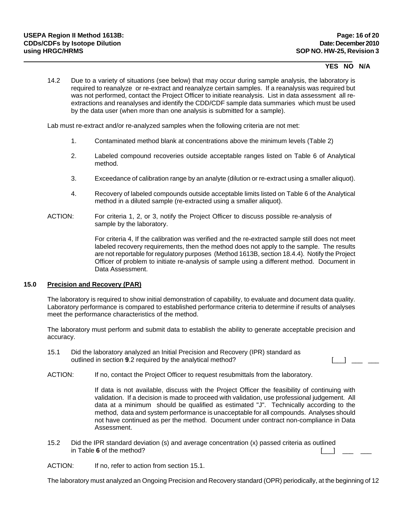### **YES NO N/A**

14.2 Due to a variety of situations (see below) that may occur during sample analysis, the laboratory is required to reanalyze or re-extract and reanalyze certain samples. If a reanalysis was required but was not performed, contact the Project Officer to initiate reanalysis. List in data assessment all reextractions and reanalyses and identify the CDD/CDF sample data summaries which must be used by the data user (when more than one analysis is submitted for a sample).

Lab must re-extract and/or re-analyzed samples when the following criteria are not met:

- 1. Contaminated method blank at concentrations above the minimum levels (Table 2)
- 2. Labeled compound recoveries outside acceptable ranges listed on Table 6 of Analytical method.
- 3. Exceedance of calibration range by an analyte (dilution or re-extract using a smaller aliquot).
- 4. Recovery of labeled compounds outside acceptable limits listed on Table 6 of the Analytical method in a diluted sample (re-extracted using a smaller aliquot).
- ACTION: For criteria 1, 2, or 3, notify the Project Officer to discuss possible re-analysis of sample by the laboratory.

For criteria 4, If the calibration was verified and the re-extracted sample still does not meet labeled recovery requirements, then the method does not apply to the sample. The results are not reportable for regulatory purposes (Method 1613B, section 18.4.4). Notify the Project Officer of problem to initiate re-analysis of sample using a different method. Document in Data Assessment.

### **15.0 Precision and Recovery (PAR)**

The laboratory is required to show initial demonstration of capability, to evaluate and document data quality. Laboratory performance is compared to established performance criteria to determine if results of analyses meet the performance characteristics of the method.

The laboratory must perform and submit data to establish the ability to generate acceptable precision and accuracy.

- 15.1 Did the laboratory analyzed an Initial Precision and Recovery (IPR) standard as outlined in section **9**.2 required by the analytical method? [[iiii]  $\frac{1}{\sqrt{1-\frac{1}{\sqrt{1-\frac{1}{\sqrt{1-\frac{1}{\sqrt{1-\frac{1}{\sqrt{1-\frac{1}{\sqrt{1-\frac{1}{\sqrt{1-\frac{1}{\sqrt{1-\frac{1}{\sqrt{1-\frac{1}{\sqrt{1-\frac{1}{\sqrt{1-\frac{1}{\sqrt{1-\frac{1}{\sqrt{1-\frac{1}{\sqrt{1-\frac{1}{\sqrt{1-\frac{1}{\sqrt{1-\frac{1}{\sqrt{$
- ACTION: If no, contact the Project Officer to request resubmittals from the laboratory.

If data is not available, discuss with the Project Officer the feasibility of continuing with validation. If a decision is made to proceed with validation, use professional judgement. All data at a minimum should be qualified as estimated "J". Technically according to the method, data and system performance is unacceptable for all compounds. Analyses should not have continued as per the method. Document under contract non-compliance in Data Assessment.

15.2 Did the IPR standard deviation (s) and average concentration (x) passed criteria as outlined in Table 6 of the method?  $\begin{bmatrix} \begin{bmatrix} 1 & 1 \\ 1 & 1 \end{bmatrix} & \begin{bmatrix} 1 & 1 \\ 1 & 1 \end{bmatrix} & \begin{bmatrix} 1 & 1 \\ 1 & 1 \end{bmatrix} & \begin{bmatrix} 1 & 1 \\ 1 & 1 \end{bmatrix} & \begin{bmatrix} 1 & 1 \\ 1 & 1 \end{bmatrix} & \begin{bmatrix} 1 & 1 \\ 1 & 1 \end{bmatrix} & \begin{bmatrix} 1 & 1 \\ 1 & 1 \end{bmatrix} & \begin{bmatrix} 1 & 1 \\ 1 & 1 \end{$ 

ACTION: If no, refer to action from section 15.1.

The laboratory must analyzed an Ongoing Precision and Recovery standard (OPR) periodically, at the beginning of 12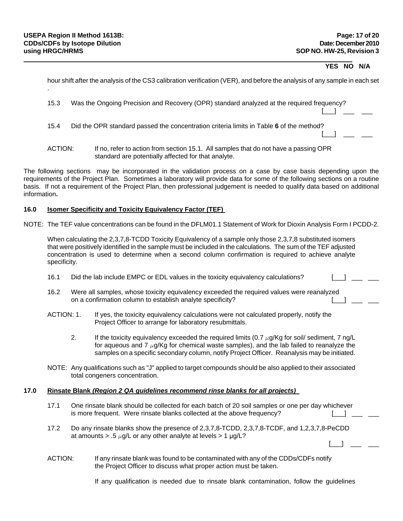### **YES NO N/A**

 $\Box$   $\Box$ 

| hour shift after the analysis of the CS3 calibration verification (VER), and before the analysis of any sample in each set |
|----------------------------------------------------------------------------------------------------------------------------|
|                                                                                                                            |

 $[$   $\Box$   $]$   $\Box$   $]$   $\Box$   $]$   $\Box$   $]$   $\Box$   $]$   $\Box$   $]$   $\Box$   $]$   $\Box$   $]$   $\Box$   $]$   $\Box$   $]$   $\Box$   $]$   $\Box$   $]$   $\Box$   $]$   $\Box$   $]$   $\Box$   $]$   $\Box$   $]$   $\Box$   $]$   $\Box$   $]$   $\Box$   $]$   $\Box$   $]$   $\Box$   $]$   $\Box$   $]$   $\Box$   $]$   $\Box$   $]$ 

 $[$   $\Box$   $]$   $\Box$   $]$   $\Box$   $]$   $\Box$   $]$   $\Box$   $]$   $\Box$   $]$   $\Box$   $]$   $\Box$   $]$   $\Box$   $]$   $\Box$   $]$   $\Box$   $]$   $\Box$   $]$   $\Box$   $]$   $\Box$   $]$   $\Box$   $]$   $\Box$   $]$   $\Box$   $]$   $\Box$   $]$   $\Box$   $]$   $\Box$   $]$   $\Box$   $]$   $\Box$   $]$   $\Box$   $]$   $\Box$   $]$ 

15.3 Was the Ongoing Precision and Recovery (OPR) standard analyzed at the required frequency?

15.4 Did the OPR standard passed the concentration criteria limits in Table **6** of the method?

The following sections may be incorporated in the validation process on a case by case basis depending upon the requirements of the Project Plan. Sometimes a laboratory will provide data for some of the following sections on a routine basis. If not a requirement of the Project Plan, then professional judgement is needed to qualify data based on additional information**.** 

#### **16.0 Isomer Specificity and Toxicity Equivalency Factor (TEF)**

NOTE: The TEF value concentrations can be found in the DFLM01.1 Statement of Work for Dioxin Analysis Form I PCDD-2.

When calculating the 2,3,7,8-TCDD Toxicity Equivalency of a sample only those 2,3,7,8 substituted isomers that were positively identified in the sample must be included in the calculations. The sum of the TEF adjusted concentration is used to determine when a second column confirmation is required to achieve analyte specificity.

- 16.1 Did the lab include EMPC or EDL values in the toxicity equivalency calculations?
- 16.2 Were all samples, whose toxicity equivalency exceeded the required values were reanalyzed on a confirmation column to establish analyte specificity?
- ACTION: 1. If yes, the toxicity equivalency calculations were not calculated properly, notify the Project Officer to arrange for laboratory resubmittals.
	- 2. If the toxicity equivalency exceeded the required limits  $(0.7 \mu g/Kg$  for soil/ sediment, 7 ng/L for aqueous and 7  $\mu$ g/Kg for chemical waste samples), and the lab failed to reanalyze the samples on a specific secondary column, notify Project Officer. Reanalysis may be initiated.
- NOTE: Any qualifications such as "J" applied to target compounds should be also applied to their associated total congeners concentration.

#### **17.0 Rinsate Blank** *(Region 2 QA guidelines recommend rinse blanks for all projects)*

- 17.1 One rinsate blank should be collected for each batch of 20 soil samples or one per day whichever is more frequent. Were rinsate blanks collected at the above frequency?
- 17.2 Do any rinsate blanks show the presence of 2,3,7,8-TCDD, 2,3,7,8-TCDF, and 1,2,3,7,8-PeCDD at amounts > .5  $\mu$ g/L or any other analyte at levels > 1  $\mu$ g/L?
- ACTION: If any rinsate blank was found to be contaminated with any of the CDDs/CDFs notify the Project Officer to discuss what proper action must be taken.

If any qualification is needed due to rinsate blank contamination, follow the guidelines

ACTION: If no, refer to action from section 15.1. All samples that do not have a passing OPR standard are potentially affected for that analyte.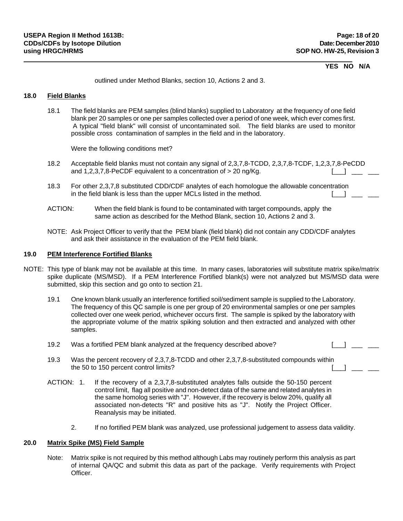### **YES NO N/A**

outlined under Method Blanks, section 10, Actions 2 and 3.

## **18.0 Field Blanks**

18.1 The field blanks are PEM samples (blind blanks) supplied to Laboratory at the frequency of one field blank per 20 samples or one per samples collected over a period of one week, which ever comes first. A typical "field blank" will consist of uncontaminated soil. The field blanks are used to monitor possible cross contamination of samples in the field and in the laboratory.

Were the following conditions met?

- 18.2 Acceptable field blanks must not contain any signal of 2,3,7,8-TCDD, 2,3,7,8-TCDF, 1,2,3,7,8-PeCDD and 1,2,3,7,8-PeCDF equivalent to a concentration of  $> 20$  ng/Kg.  $\begin{bmatrix} 1 & 1 & \cdots & 1 \\ 1 & 1 & 1 & \cdots & 1 \\ 1 & 1 & 1 & 1 & 1 \end{bmatrix}$
- 18.3 For other 2,3,7,8 substituted CDD/CDF analytes of each homologue the allowable concentration<br>in the field blank is less than the upper MCLs listed in the method. in the field blank is less than the upper MCLs listed in the method.
- ACTION: When the field blank is found to be contaminated with target compounds, apply the same action as described for the Method Blank, section 10, Actions 2 and 3.
- NOTE: Ask Project Officer to verify that the PEM blank (field blank) did not contain any CDD/CDF analytes and ask their assistance in the evaluation of the PEM field blank.

#### **19.0 PEM Interference Fortified Blanks**

- NOTE: This type of blank may not be available at this time. In many cases, laboratories will substitute matrix spike/matrix spike duplicate (MS/MSD). If a PEM Interference Fortified blank(s) were not analyzed but MS/MSD data were submitted, skip this section and go onto to section 21.
	- 19.1 One known blank usually an interference fortified soil/sediment sample is supplied to the Laboratory. The frequency of this QC sample is one per group of 20 environmental samples or one per samples collected over one week period, whichever occurs first. The sample is spiked by the laboratory with the appropriate volume of the matrix spiking solution and then extracted and analyzed with other samples.
	- 19.2 Was a fortified PEM blank analyzed at the frequency described above? [10] [10] [10] 2000
	- 19.3 Was the percent recovery of 2,3,7,8-TCDD and other 2,3,7,8-substituted compounds within<br>the 50 to 150 percent control limits? the 50 to 150 percent control limits?
	- ACTION: 1. If the recovery of a 2,3,7,8-substituted analytes falls outside the 50-150 percent control limit, flag all positive and non-detect data of the same and related analytes in the same homolog series with "J". However, if the recovery is below 20%, qualify all associated non-detects "R" and positive hits as "J". Notify the Project Officer. Reanalysis may be initiated.
		- 2. If no fortified PEM blank was analyzed, use professional judgement to assess data validity.

#### **20.0 Matrix Spike (MS) Field Sample**

Note: Matrix spike is not required by this method although Labs may routinely perform this analysis as part of internal QA/QC and submit this data as part of the package. Verify requirements with Project Officer.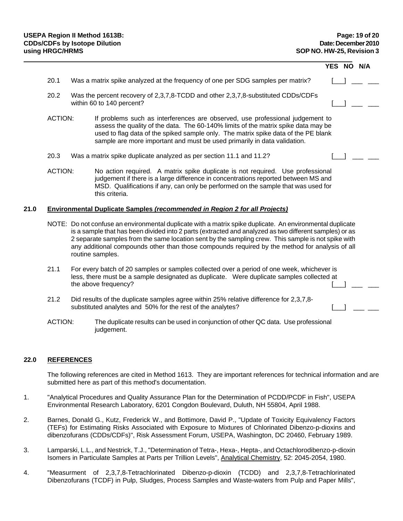|      |                |                                                                                                                                                                                                                                                                                                                                                                                                                                                 | YES NO | N/A |
|------|----------------|-------------------------------------------------------------------------------------------------------------------------------------------------------------------------------------------------------------------------------------------------------------------------------------------------------------------------------------------------------------------------------------------------------------------------------------------------|--------|-----|
|      | 20.1           | Was a matrix spike analyzed at the frequency of one per SDG samples per matrix?                                                                                                                                                                                                                                                                                                                                                                 |        |     |
|      | 20.2           | Was the percent recovery of 2,3,7,8-TCDD and other 2,3,7,8-substituted CDDs/CDFs<br>within 60 to 140 percent?                                                                                                                                                                                                                                                                                                                                   |        |     |
|      | <b>ACTION:</b> | If problems such as interferences are observed, use professional judgement to<br>assess the quality of the data. The 60-140% limits of the matrix spike data may be<br>used to flag data of the spiked sample only. The matrix spike data of the PE blank<br>sample are more important and must be used primarily in data validation.                                                                                                           |        |     |
|      | 20.3           | Was a matrix spike duplicate analyzed as per section 11.1 and 11.2?                                                                                                                                                                                                                                                                                                                                                                             |        |     |
|      | <b>ACTION:</b> | No action required. A matrix spike duplicate is not required. Use professional<br>judgement if there is a large difference in concentrations reported between MS and<br>MSD. Qualifications if any, can only be performed on the sample that was used for<br>this criteria.                                                                                                                                                                     |        |     |
| 21.0 |                | <b>Environmental Duplicate Samples (recommended in Region 2 for all Projects)</b>                                                                                                                                                                                                                                                                                                                                                               |        |     |
|      |                | NOTE: Do not confuse an environmental duplicate with a matrix spike duplicate. An environmental duplicate<br>is a sample that has been divided into 2 parts (extracted and analyzed as two different samples) or as<br>2 separate samples from the same location sent by the sampling crew. This sample is not spike with<br>any additional compounds other than those compounds required by the method for analysis of all<br>routine samples. |        |     |
|      | 21.1           | For every batch of 20 samples or samples collected over a period of one week, whichever is<br>less, there must be a sample designated as duplicate. Were duplicate samples collected at<br>the above frequency?                                                                                                                                                                                                                                 |        |     |
|      | 21.2           | Did results of the duplicate samples agree within 25% relative difference for 2,3,7,8-<br>substituted analytes and 50% for the rest of the analytes?                                                                                                                                                                                                                                                                                            |        |     |
|      | <b>ACTION:</b> | The duplicate results can be used in conjunction of other QC data. Use professional<br>judgement.                                                                                                                                                                                                                                                                                                                                               |        |     |

## **22.0 REFERENCES**

The following references are cited in Method 1613. They are important references for technical information and are submitted here as part of this method's documentation.

- 1. "Analytical Procedures and Quality Assurance Plan for the Determination of PCDD/PCDF in Fish", USEPA Environmental Research Laboratory, 6201 Congdon Boulevard, Duluth, NH 55804, April 1988.
- 2. Barnes, Donald G., Kutz, Frederick W., and Bottimore, David P., "Update of Toxicity Equivalency Factors (TEFs) for Estimating Risks Associated with Exposure to Mixtures of Chlorinated Dibenzo-p-dioxins and dibenzofurans (CDDs/CDFs)", Risk Assessment Forum, USEPA, Washington, DC 20460, February 1989.
- 3. Lamparski, L.L., and Nestrick, T.J., "Determination of Tetra-, Hexa-, Hepta-, and Octachlorodibenzo-p-dioxin Isomers in Particulate Samples at Parts per Trillion Levels", Analytical Chemistry, 52: 2045-2054, 1980.
- 4. "Measurment of 2,3,7,8-Tetrachlorinated Dibenzo-p-dioxin (TCDD) and 2,3,7,8-Tetrachlorinated Dibenzofurans (TCDF) in Pulp, Sludges, Process Samples and Waste-waters from Pulp and Paper Mills",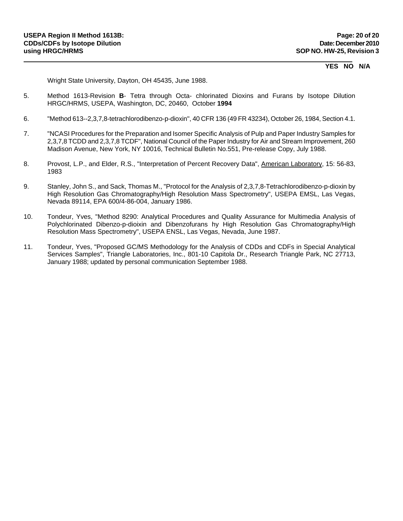### **YES NO N/A**

Wright State University, Dayton, OH 45435, June 1988.

- 5. Method 1613-Revision **B** Tetra through Octa- chlorinated Dioxins and Furans by Isotope Dilution HRGC/HRMS, USEPA, Washington, DC, 20460, October **1994**
- 6. "Method 613--2,3,7,8-tetrachlorodibenzo-p-dioxin", 40 CFR 136 (49 FR 43234), October 26, 1984, Section 4.1.
- 7. "NCASI Procedures for the Preparation and Isomer Specific Analysis of Pulp and Paper Industry Samples for 2,3,7,8 TCDD and 2,3,7,8 TCDF", National Council of the Paper Industry for Air and Stream Improvement, 260 Madison Avenue, New York, NY 10016, Technical Bulletin No.551, Pre-release Copy, July 1988.
- 8. Provost, L.P., and Elder, R.S., "Interpretation of Percent Recovery Data", American Laboratory, 15: 56-83, 1983
- 9. Stanley, John S., and Sack, Thomas M., "Protocol for the Analysis of 2,3,7,8-Tetrachlorodibenzo-p-dioxin by High Resolution Gas Chromatography/High Resolution Mass Spectrometry", USEPA EMSL, Las Vegas, Nevada 89114, EPA 600/4-86-004, January 1986.
- 10. Tondeur, Yves, "Method 8290: Analytical Procedures and Quality Assurance for Multimedia Analysis of Polychlorinated Dibenzo-p-dioixin and Dibenzofurans hy High Resolution Gas Chromatography/High Resolution Mass Spectrometry", USEPA ENSL, Las Vegas, Nevada, June 1987.
- 11. Tondeur, Yves, "Proposed GC/MS Methodology for the Analysis of CDDs and CDFs in Special Analytical Services Samples", Triangle Laboratories, Inc., 801-10 Capitola Dr., Research Triangle Park, NC 27713, January 1988; updated by personal communication September 1988.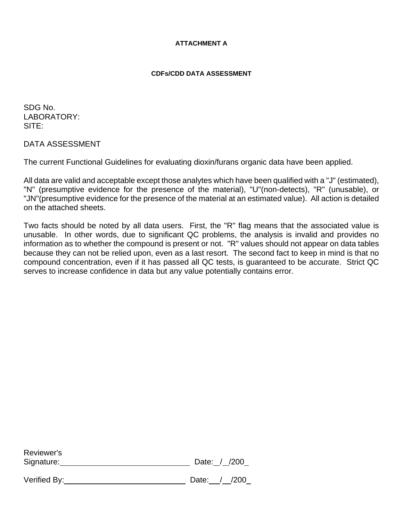# **ATTACHMENT A**

# **CDFs/CDD DATA ASSESSMENT**

SDG No. LABORATORY: SITE:

DATA ASSESSMENT

The current Functional Guidelines for evaluating dioxin/furans organic data have been applied.

All data are valid and acceptable except those analytes which have been qualified with a "J" (estimated), "N" (presumptive evidence for the presence of the material), "U"(non-detects), "R" (unusable), or "JN"(presumptive evidence for the presence of the material at an estimated value). All action is detailed on the attached sheets.

Two facts should be noted by all data users. First, the "R" flag means that the associated value is unusable. In other words, due to significant QC problems, the analysis is invalid and provides no information as to whether the compound is present or not. "R" values should not appear on data tables because they can not be relied upon, even as a last resort. The second fact to keep in mind is that no compound concentration, even if it has passed all QC tests, is guaranteed to be accurate. Strict QC serves to increase confidence in data but any value potentially contains error.

| Reviewer's |              |
|------------|--------------|
| Signature: | Date: / /200 |
|            |              |

Verified By: Date: / /200

| Date: |  | /200 |
|-------|--|------|
|       |  |      |